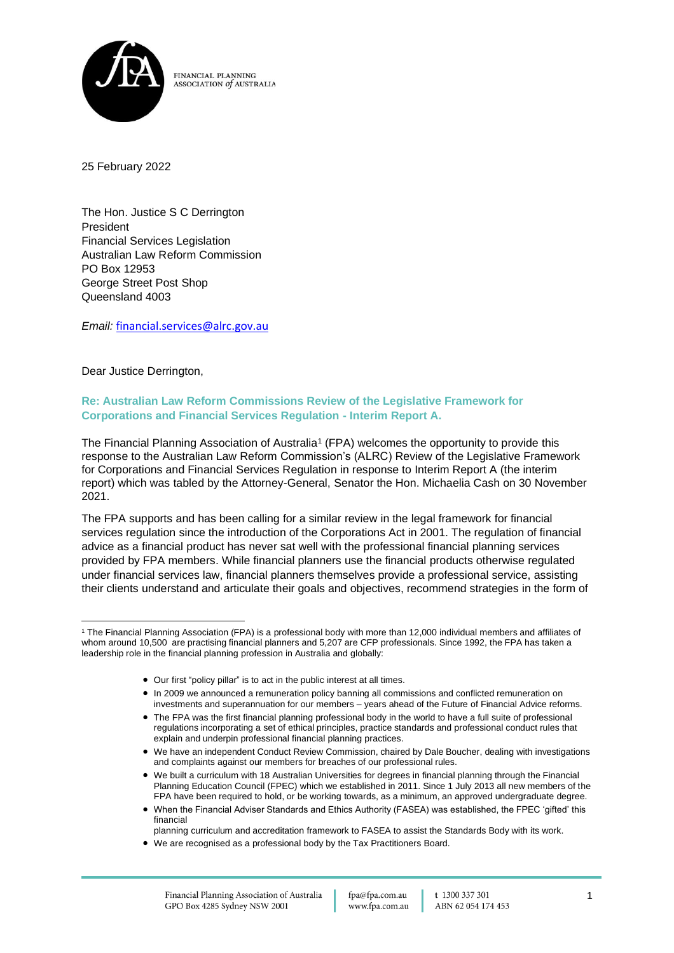

25 February 2022

The Hon. Justice S C Derrington President Financial Services Legislation Australian Law Reform Commission PO Box 12953 George Street Post Shop Queensland 4003

*Email:* [financial.services@alrc.gov.au](mailto:financial.services@alrc.gov.au)

Dear Justice Derrington,

### **Re: Australian Law Reform Commissions Review of the Legislative Framework for Corporations and Financial Services Regulation - Interim Report A.**

The Financial Planning Association of Australia<sup>1</sup> (FPA) welcomes the opportunity to provide this response to the Australian Law Reform Commission's (ALRC) Review of the Legislative Framework for Corporations and Financial Services Regulation in response to Interim Report A (the interim report) which was tabled by the Attorney-General, Senator the Hon. Michaelia Cash on 30 November 2021.

The FPA supports and has been calling for a similar review in the legal framework for financial services regulation since the introduction of the Corporations Act in 2001. The regulation of financial advice as a financial product has never sat well with the professional financial planning services provided by FPA members. While financial planners use the financial products otherwise regulated under financial services law, financial planners themselves provide a professional service, assisting their clients understand and articulate their goals and objectives, recommend strategies in the form of

- Our first "policy pillar" is to act in the public interest at all times.
- In 2009 we announced a remuneration policy banning all commissions and conflicted remuneration on investments and superannuation for our members – years ahead of the Future of Financial Advice reforms.
- The FPA was the first financial planning professional body in the world to have a full suite of professional regulations incorporating a set of ethical principles, practice standards and professional conduct rules that explain and underpin professional financial planning practices.
- We have an independent Conduct Review Commission, chaired by Dale Boucher, dealing with investigations and complaints against our members for breaches of our professional rules.
- We built a curriculum with 18 Australian Universities for degrees in financial planning through the Financial Planning Education Council (FPEC) which we established in 2011. Since 1 July 2013 all new members of the FPA have been required to hold, or be working towards, as a minimum, an approved undergraduate degree.
- When the Financial Adviser Standards and Ethics Authority (FASEA) was established, the FPEC 'gifted' this financial
	- planning curriculum and accreditation framework to FASEA to assist the Standards Body with its work.
- We are recognised as a professional body by the Tax Practitioners Board.

<sup>1</sup> The Financial Planning Association (FPA) is a professional body with more than 12,000 individual members and affiliates of whom around 10,500 are practising financial planners and 5,207 are CFP professionals. Since 1992, the FPA has taken a leadership role in the financial planning profession in Australia and globally: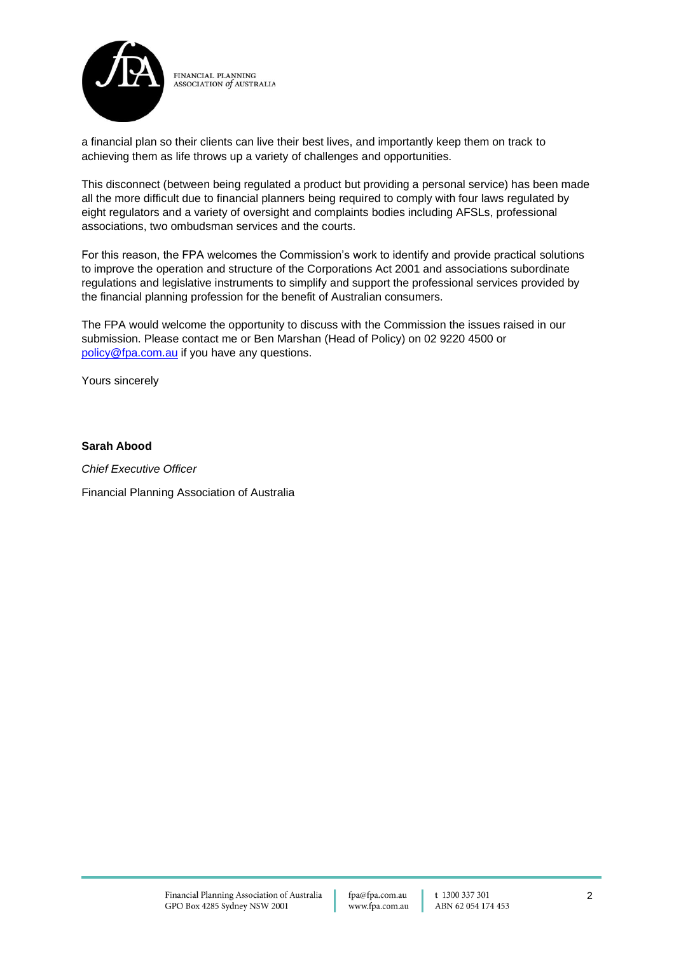

a financial plan so their clients can live their best lives, and importantly keep them on track to achieving them as life throws up a variety of challenges and opportunities.

This disconnect (between being regulated a product but providing a personal service) has been made all the more difficult due to financial planners being required to comply with four laws regulated by eight regulators and a variety of oversight and complaints bodies including AFSLs, professional associations, two ombudsman services and the courts.

For this reason, the FPA welcomes the Commission's work to identify and provide practical solutions to improve the operation and structure of the Corporations Act 2001 and associations subordinate regulations and legislative instruments to simplify and support the professional services provided by the financial planning profession for the benefit of Australian consumers.

The FPA would welcome the opportunity to discuss with the Commission the issues raised in our submission. Please contact me or Ben Marshan (Head of Policy) on 02 9220 4500 or [policy@fpa.com.au](mailto:policy@fpa.com.au) if you have any questions.

Yours sincerely

#### **Sarah Abood**

*Chief Executive Officer* Financial Planning Association of Australia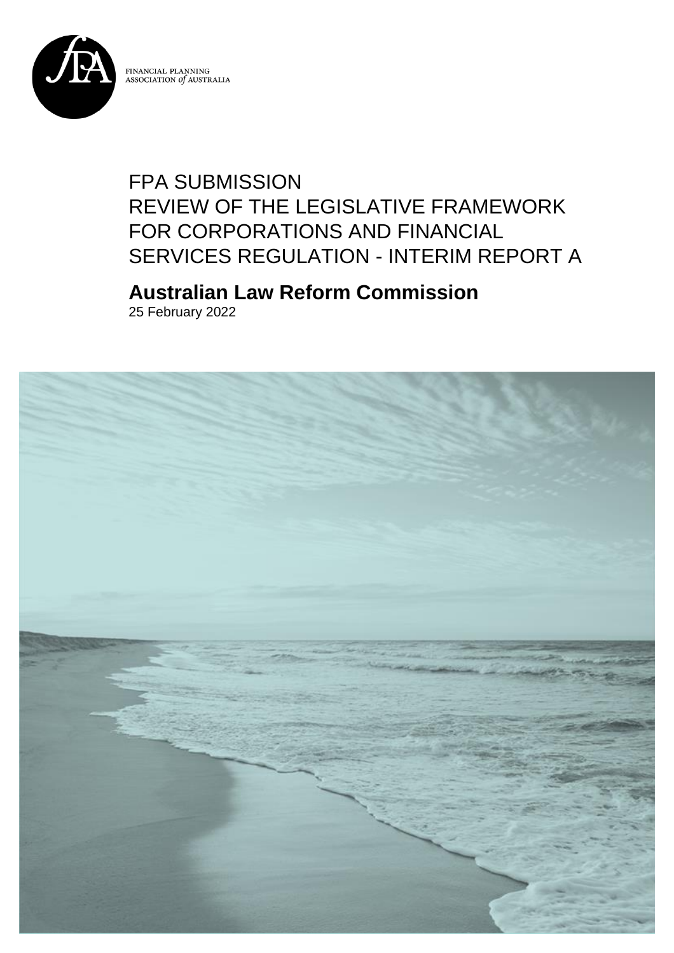

# FPA SUBMISSION REVIEW OF THE LEGISLATIVE FRAMEWORK FOR CORPORATIONS AND FINANCIAL SERVICES REGULATION - INTERIM REPORT A

# **Australian Law Reform Commission**

25 February 2022

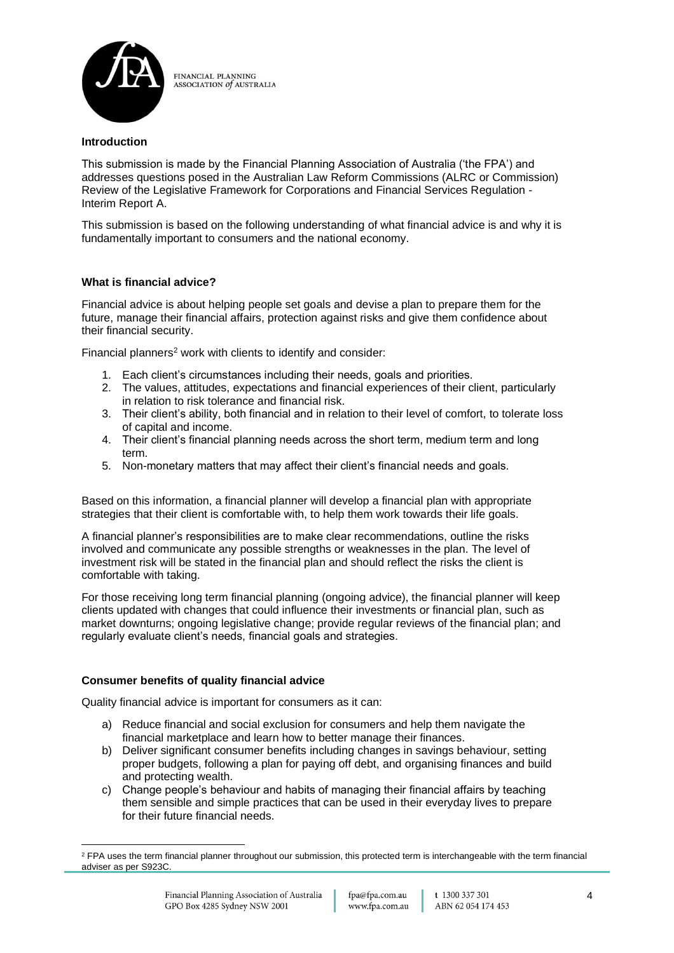

### **Introduction**

This submission is made by the Financial Planning Association of Australia ('the FPA') and addresses questions posed in the Australian Law Reform Commissions (ALRC or Commission) Review of the Legislative Framework for Corporations and Financial Services Regulation - Interim Report A.

This submission is based on the following understanding of what financial advice is and why it is fundamentally important to consumers and the national economy.

### **What is financial advice?**

Financial advice is about helping people set goals and devise a plan to prepare them for the future, manage their financial affairs, protection against risks and give them confidence about their financial security.

Financial planners <sup>2</sup> work with clients to identify and consider:

- 1. Each client's circumstances including their needs, goals and priorities.
- 2. The values, attitudes, expectations and financial experiences of their client, particularly in relation to risk tolerance and financial risk.
- 3. Their client's ability, both financial and in relation to their level of comfort, to tolerate loss of capital and income.
- 4. Their client's financial planning needs across the short term, medium term and long term.
- 5. Non-monetary matters that may affect their client's financial needs and goals.

Based on this information, a financial planner will develop a financial plan with appropriate strategies that their client is comfortable with, to help them work towards their life goals.

A financial planner's responsibilities are to make clear recommendations, outline the risks involved and communicate any possible strengths or weaknesses in the plan. The level of investment risk will be stated in the financial plan and should reflect the risks the client is comfortable with taking.

For those receiving long term financial planning (ongoing advice), the financial planner will keep clients updated with changes that could influence their investments or financial plan, such as market downturns; ongoing legislative change; provide regular reviews of the financial plan; and regularly evaluate client's needs, financial goals and strategies.

#### **Consumer benefits of quality financial advice**

Quality financial advice is important for consumers as it can:

- a) Reduce financial and social exclusion for consumers and help them navigate the financial marketplace and learn how to better manage their finances.
- b) Deliver significant consumer benefits including changes in savings behaviour, setting proper budgets, following a plan for paying off debt, and organising finances and build and protecting wealth.
- c) Change people's behaviour and habits of managing their financial affairs by teaching them sensible and simple practices that can be used in their everyday lives to prepare for their future financial needs.

<sup>&</sup>lt;sup>2</sup> FPA uses the term financial planner throughout our submission, this protected term is interchangeable with the term financial adviser as per S923C.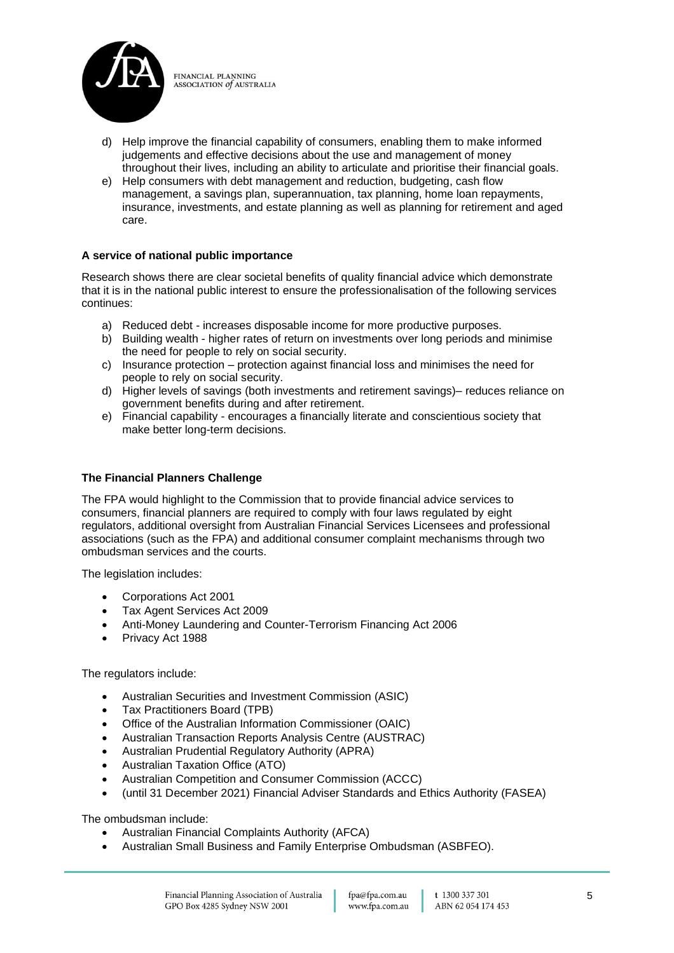

- d) Help improve the financial capability of consumers, enabling them to make informed judgements and effective decisions about the use and management of money throughout their lives, including an ability to articulate and prioritise their financial goals.
- e) Help consumers with debt management and reduction, budgeting, cash flow management, a savings plan, superannuation, tax planning, home loan repayments, insurance, investments, and estate planning as well as planning for retirement and aged care.

### **A service of national public importance**

Research shows there are clear societal benefits of quality financial advice which demonstrate that it is in the national public interest to ensure the professionalisation of the following services continues:

- a) Reduced debt increases disposable income for more productive purposes.
- b) Building wealth higher rates of return on investments over long periods and minimise the need for people to rely on social security.
- c) Insurance protection protection against financial loss and minimises the need for people to rely on social security.
- d) Higher levels of savings (both investments and retirement savings)– reduces reliance on government benefits during and after retirement.
- e) Financial capability encourages a financially literate and conscientious society that make better long-term decisions.

#### **The Financial Planners Challenge**

The FPA would highlight to the Commission that to provide financial advice services to consumers, financial planners are required to comply with four laws regulated by eight regulators, additional oversight from Australian Financial Services Licensees and professional associations (such as the FPA) and additional consumer complaint mechanisms through two ombudsman services and the courts.

The legislation includes:

- Corporations Act 2001
- Tax Agent Services Act 2009
- Anti-Money Laundering and Counter-Terrorism Financing Act 2006
- Privacy Act 1988

#### The regulators include:

- Australian Securities and Investment Commission (ASIC)
- Tax Practitioners Board (TPB)
- Office of the Australian Information Commissioner (OAIC)
- Australian Transaction Reports Analysis Centre (AUSTRAC)
- Australian Prudential Regulatory Authority (APRA)
- Australian Taxation Office (ATO)
- Australian Competition and Consumer Commission (ACCC)
- (until 31 December 2021) Financial Adviser Standards and Ethics Authority (FASEA)

The ombudsman include:

- Australian Financial Complaints Authority (AFCA)
- Australian Small Business and Family Enterprise Ombudsman (ASBFEO).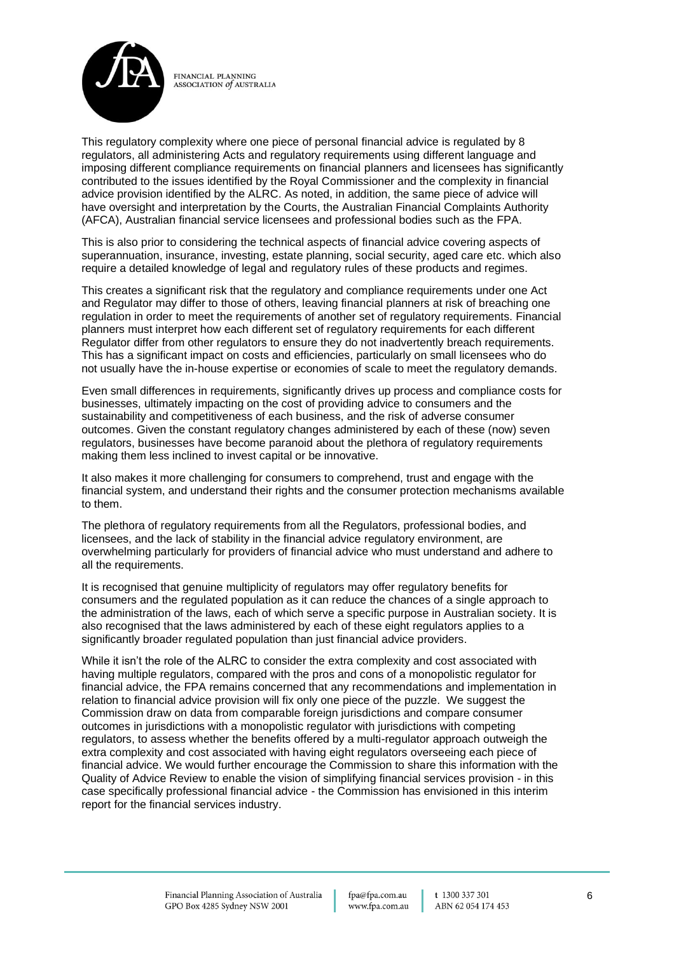

This regulatory complexity where one piece of personal financial advice is regulated by 8 regulators, all administering Acts and regulatory requirements using different language and imposing different compliance requirements on financial planners and licensees has significantly contributed to the issues identified by the Royal Commissioner and the complexity in financial advice provision identified by the ALRC. As noted, in addition, the same piece of advice will have oversight and interpretation by the Courts, the Australian Financial Complaints Authority (AFCA), Australian financial service licensees and professional bodies such as the FPA.

This is also prior to considering the technical aspects of financial advice covering aspects of superannuation, insurance, investing, estate planning, social security, aged care etc. which also require a detailed knowledge of legal and regulatory rules of these products and regimes.

This creates a significant risk that the regulatory and compliance requirements under one Act and Regulator may differ to those of others, leaving financial planners at risk of breaching one regulation in order to meet the requirements of another set of regulatory requirements. Financial planners must interpret how each different set of regulatory requirements for each different Regulator differ from other regulators to ensure they do not inadvertently breach requirements. This has a significant impact on costs and efficiencies, particularly on small licensees who do not usually have the in-house expertise or economies of scale to meet the regulatory demands.

Even small differences in requirements, significantly drives up process and compliance costs for businesses, ultimately impacting on the cost of providing advice to consumers and the sustainability and competitiveness of each business, and the risk of adverse consumer outcomes. Given the constant regulatory changes administered by each of these (now) seven regulators, businesses have become paranoid about the plethora of regulatory requirements making them less inclined to invest capital or be innovative.

It also makes it more challenging for consumers to comprehend, trust and engage with the financial system, and understand their rights and the consumer protection mechanisms available to them.

The plethora of regulatory requirements from all the Regulators, professional bodies, and licensees, and the lack of stability in the financial advice regulatory environment, are overwhelming particularly for providers of financial advice who must understand and adhere to all the requirements.

It is recognised that genuine multiplicity of regulators may offer regulatory benefits for consumers and the regulated population as it can reduce the chances of a single approach to the administration of the laws, each of which serve a specific purpose in Australian society. It is also recognised that the laws administered by each of these eight regulators applies to a significantly broader regulated population than just financial advice providers.

While it isn't the role of the ALRC to consider the extra complexity and cost associated with having multiple regulators, compared with the pros and cons of a monopolistic regulator for financial advice, the FPA remains concerned that any recommendations and implementation in relation to financial advice provision will fix only one piece of the puzzle. We suggest the Commission draw on data from comparable foreign jurisdictions and compare consumer outcomes in jurisdictions with a monopolistic regulator with jurisdictions with competing regulators, to assess whether the benefits offered by a multi-regulator approach outweigh the extra complexity and cost associated with having eight regulators overseeing each piece of financial advice. We would further encourage the Commission to share this information with the Quality of Advice Review to enable the vision of simplifying financial services provision - in this case specifically professional financial advice - the Commission has envisioned in this interim report for the financial services industry.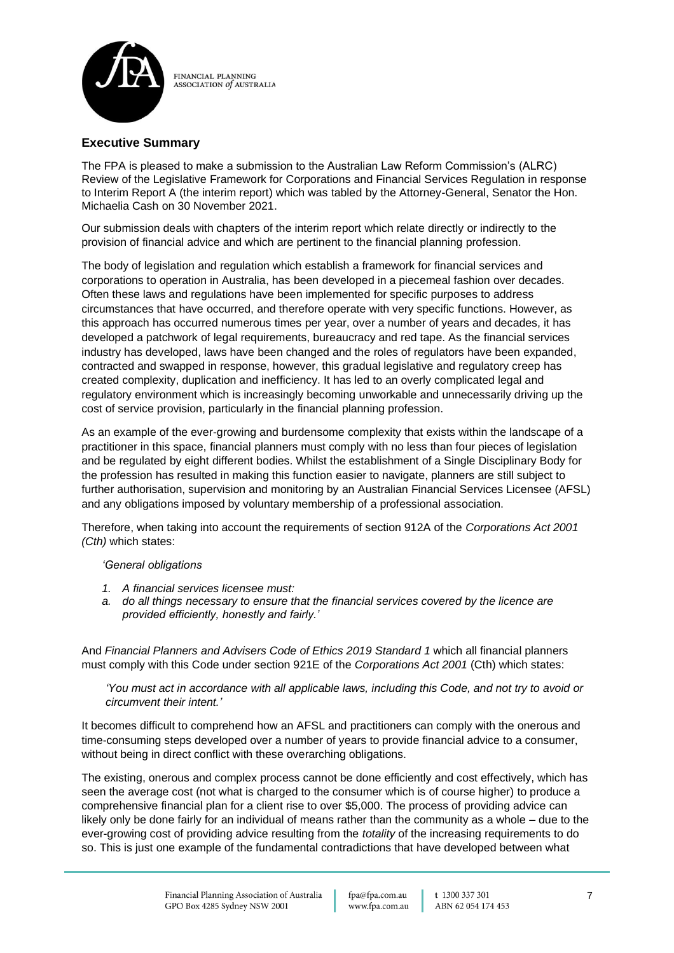

## **Executive Summary**

The FPA is pleased to make a submission to the Australian Law Reform Commission's (ALRC) Review of the Legislative Framework for Corporations and Financial Services Regulation in response to Interim Report A (the interim report) which was tabled by the Attorney-General, Senator the Hon. Michaelia Cash on 30 November 2021.

Our submission deals with chapters of the interim report which relate directly or indirectly to the provision of financial advice and which are pertinent to the financial planning profession.

The body of legislation and regulation which establish a framework for financial services and corporations to operation in Australia, has been developed in a piecemeal fashion over decades. Often these laws and regulations have been implemented for specific purposes to address circumstances that have occurred, and therefore operate with very specific functions. However, as this approach has occurred numerous times per year, over a number of years and decades, it has developed a patchwork of legal requirements, bureaucracy and red tape. As the financial services industry has developed, laws have been changed and the roles of regulators have been expanded, contracted and swapped in response, however, this gradual legislative and regulatory creep has created complexity, duplication and inefficiency. It has led to an overly complicated legal and regulatory environment which is increasingly becoming unworkable and unnecessarily driving up the cost of service provision, particularly in the financial planning profession.

As an example of the ever-growing and burdensome complexity that exists within the landscape of a practitioner in this space, financial planners must comply with no less than four pieces of legislation and be regulated by eight different bodies. Whilst the establishment of a Single Disciplinary Body for the profession has resulted in making this function easier to navigate, planners are still subject to further authorisation, supervision and monitoring by an Australian Financial Services Licensee (AFSL) and any obligations imposed by voluntary membership of a professional association.

Therefore, when taking into account the requirements of section 912A of the *Corporations Act 2001 (Cth)* which states:

#### *'General obligations*

- *1. A financial services licensee must:*
- *a. do all things necessary to ensure that the financial services covered by the licence are provided efficiently, honestly and fairly.'*

And *Financial Planners and Advisers Code of Ethics 2019 Standard 1* which all financial planners must comply with this Code under section 921E of the *Corporations Act 2001* (Cth) which states:

*'You must act in accordance with all applicable laws, including this Code, and not try to avoid or circumvent their intent.'*

It becomes difficult to comprehend how an AFSL and practitioners can comply with the onerous and time-consuming steps developed over a number of years to provide financial advice to a consumer, without being in direct conflict with these overarching obligations.

The existing, onerous and complex process cannot be done efficiently and cost effectively, which has seen the average cost (not what is charged to the consumer which is of course higher) to produce a comprehensive financial plan for a client rise to over \$5,000. The process of providing advice can likely only be done fairly for an individual of means rather than the community as a whole – due to the ever-growing cost of providing advice resulting from the *totality* of the increasing requirements to do so. This is just one example of the fundamental contradictions that have developed between what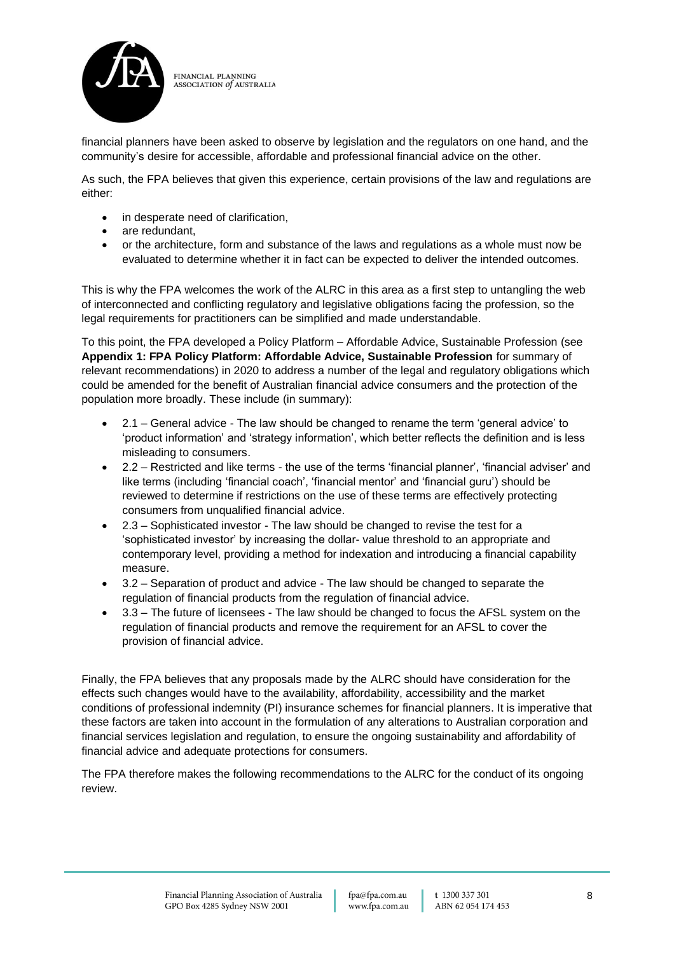

financial planners have been asked to observe by legislation and the regulators on one hand, and the community's desire for accessible, affordable and professional financial advice on the other.

As such, the FPA believes that given this experience, certain provisions of the law and regulations are either:

- in desperate need of clarification,
- are redundant.
- or the architecture, form and substance of the laws and regulations as a whole must now be evaluated to determine whether it in fact can be expected to deliver the intended outcomes.

This is why the FPA welcomes the work of the ALRC in this area as a first step to untangling the web of interconnected and conflicting regulatory and legislative obligations facing the profession, so the legal requirements for practitioners can be simplified and made understandable.

To this point, the FPA developed a Policy Platform – Affordable Advice, Sustainable Profession (see **Appendix 1: FPA Policy Platform: Affordable Advice, Sustainable Profession** for summary of relevant recommendations) in 2020 to address a number of the legal and regulatory obligations which could be amended for the benefit of Australian financial advice consumers and the protection of the population more broadly. These include (in summary):

- 2.1 General advice The law should be changed to rename the term 'general advice' to 'product information' and 'strategy information', which better reflects the definition and is less misleading to consumers.
- 2.2 Restricted and like terms the use of the terms 'financial planner', 'financial adviser' and like terms (including 'financial coach', 'financial mentor' and 'financial guru') should be reviewed to determine if restrictions on the use of these terms are effectively protecting consumers from unqualified financial advice.
- 2.3 Sophisticated investor The law should be changed to revise the test for a 'sophisticated investor' by increasing the dollar- value threshold to an appropriate and contemporary level, providing a method for indexation and introducing a financial capability measure.
- 3.2 Separation of product and advice The law should be changed to separate the regulation of financial products from the regulation of financial advice.
- 3.3 The future of licensees The law should be changed to focus the AFSL system on the regulation of financial products and remove the requirement for an AFSL to cover the provision of financial advice.

Finally, the FPA believes that any proposals made by the ALRC should have consideration for the effects such changes would have to the availability, affordability, accessibility and the market conditions of professional indemnity (PI) insurance schemes for financial planners. It is imperative that these factors are taken into account in the formulation of any alterations to Australian corporation and financial services legislation and regulation, to ensure the ongoing sustainability and affordability of financial advice and adequate protections for consumers.

The FPA therefore makes the following recommendations to the ALRC for the conduct of its ongoing review.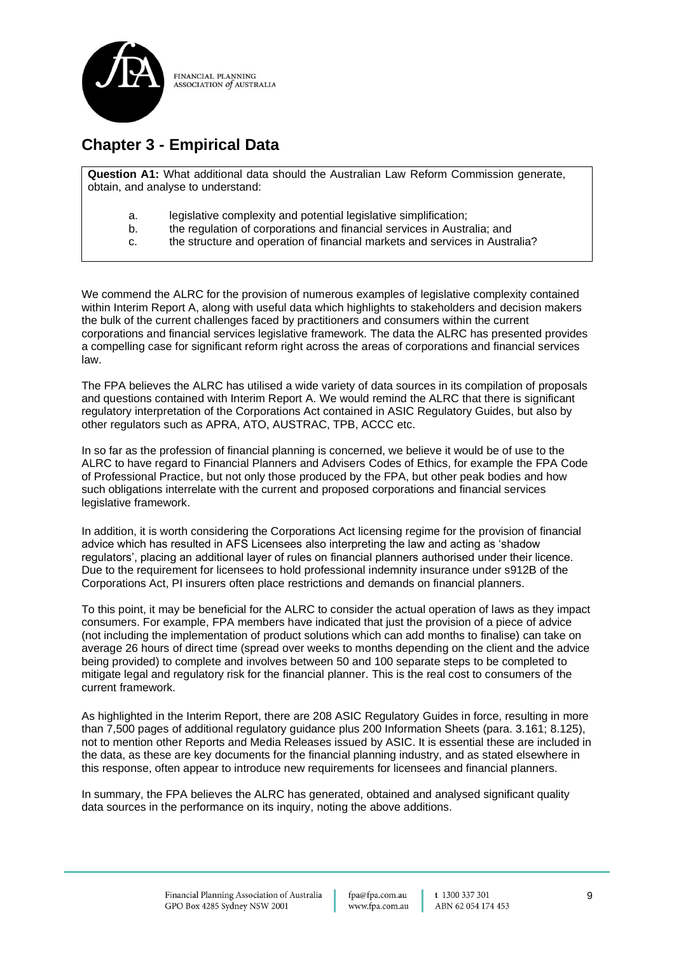

## **Chapter 3 - Empirical Data**

**Question A1:** What additional data should the Australian Law Reform Commission generate, obtain, and analyse to understand:

- a. legislative complexity and potential legislative simplification;
- b. the regulation of corporations and financial services in Australia; and
- c. the structure and operation of financial markets and services in Australia?

We commend the ALRC for the provision of numerous examples of legislative complexity contained within Interim Report A, along with useful data which highlights to stakeholders and decision makers the bulk of the current challenges faced by practitioners and consumers within the current corporations and financial services legislative framework. The data the ALRC has presented provides a compelling case for significant reform right across the areas of corporations and financial services law.

The FPA believes the ALRC has utilised a wide variety of data sources in its compilation of proposals and questions contained with Interim Report A. We would remind the ALRC that there is significant regulatory interpretation of the Corporations Act contained in ASIC Regulatory Guides, but also by other regulators such as APRA, ATO, AUSTRAC, TPB, ACCC etc.

In so far as the profession of financial planning is concerned, we believe it would be of use to the ALRC to have regard to Financial Planners and Advisers Codes of Ethics, for example the FPA Code of Professional Practice, but not only those produced by the FPA, but other peak bodies and how such obligations interrelate with the current and proposed corporations and financial services legislative framework.

In addition, it is worth considering the Corporations Act licensing regime for the provision of financial advice which has resulted in AFS Licensees also interpreting the law and acting as 'shadow regulators', placing an additional layer of rules on financial planners authorised under their licence. Due to the requirement for licensees to hold professional indemnity insurance under s912B of the Corporations Act, PI insurers often place restrictions and demands on financial planners.

To this point, it may be beneficial for the ALRC to consider the actual operation of laws as they impact consumers. For example, FPA members have indicated that just the provision of a piece of advice (not including the implementation of product solutions which can add months to finalise) can take on average 26 hours of direct time (spread over weeks to months depending on the client and the advice being provided) to complete and involves between 50 and 100 separate steps to be completed to mitigate legal and regulatory risk for the financial planner. This is the real cost to consumers of the current framework.

As highlighted in the Interim Report, there are 208 ASIC Regulatory Guides in force, resulting in more than 7,500 pages of additional regulatory guidance plus 200 Information Sheets (para. 3.161; 8.125), not to mention other Reports and Media Releases issued by ASIC. It is essential these are included in the data, as these are key documents for the financial planning industry, and as stated elsewhere in this response, often appear to introduce new requirements for licensees and financial planners.

In summary, the FPA believes the ALRC has generated, obtained and analysed significant quality data sources in the performance on its inquiry, noting the above additions.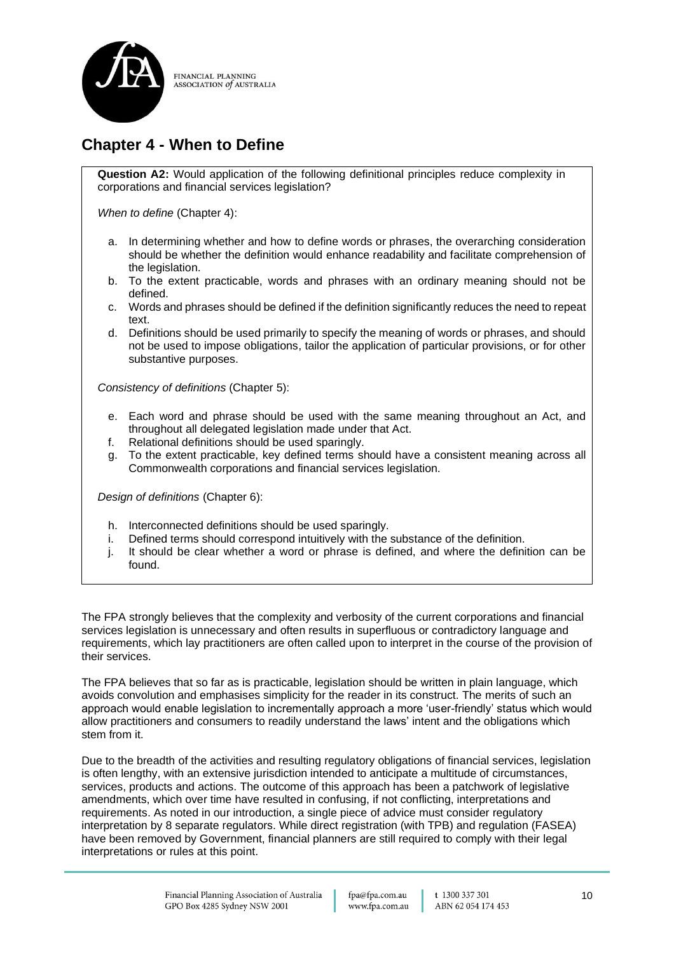

## **Chapter 4 - When to Define**

**Question A2:** Would application of the following definitional principles reduce complexity in corporations and financial services legislation?

*When to define* (Chapter 4):

- a. In determining whether and how to define words or phrases, the overarching consideration should be whether the definition would enhance readability and facilitate comprehension of the legislation.
- b. To the extent practicable, words and phrases with an ordinary meaning should not be defined.
- c. Words and phrases should be defined if the definition significantly reduces the need to repeat text.
- d. Definitions should be used primarily to specify the meaning of words or phrases, and should not be used to impose obligations, tailor the application of particular provisions, or for other substantive purposes.

*Consistency of definitions* (Chapter 5):

- e. Each word and phrase should be used with the same meaning throughout an Act, and throughout all delegated legislation made under that Act.
- f. Relational definitions should be used sparingly.
- g. To the extent practicable, key defined terms should have a consistent meaning across all Commonwealth corporations and financial services legislation.

*Design of definitions* (Chapter 6):

- h. Interconnected definitions should be used sparingly.
- i. Defined terms should correspond intuitively with the substance of the definition.
- j. It should be clear whether a word or phrase is defined, and where the definition can be found.

The FPA strongly believes that the complexity and verbosity of the current corporations and financial services legislation is unnecessary and often results in superfluous or contradictory language and requirements, which lay practitioners are often called upon to interpret in the course of the provision of their services.

The FPA believes that so far as is practicable, legislation should be written in plain language, which avoids convolution and emphasises simplicity for the reader in its construct. The merits of such an approach would enable legislation to incrementally approach a more 'user-friendly' status which would allow practitioners and consumers to readily understand the laws' intent and the obligations which stem from it.

Due to the breadth of the activities and resulting regulatory obligations of financial services, legislation is often lengthy, with an extensive jurisdiction intended to anticipate a multitude of circumstances, services, products and actions. The outcome of this approach has been a patchwork of legislative amendments, which over time have resulted in confusing, if not conflicting, interpretations and requirements. As noted in our introduction, a single piece of advice must consider regulatory interpretation by 8 separate regulators. While direct registration (with TPB) and regulation (FASEA) have been removed by Government, financial planners are still required to comply with their legal interpretations or rules at this point.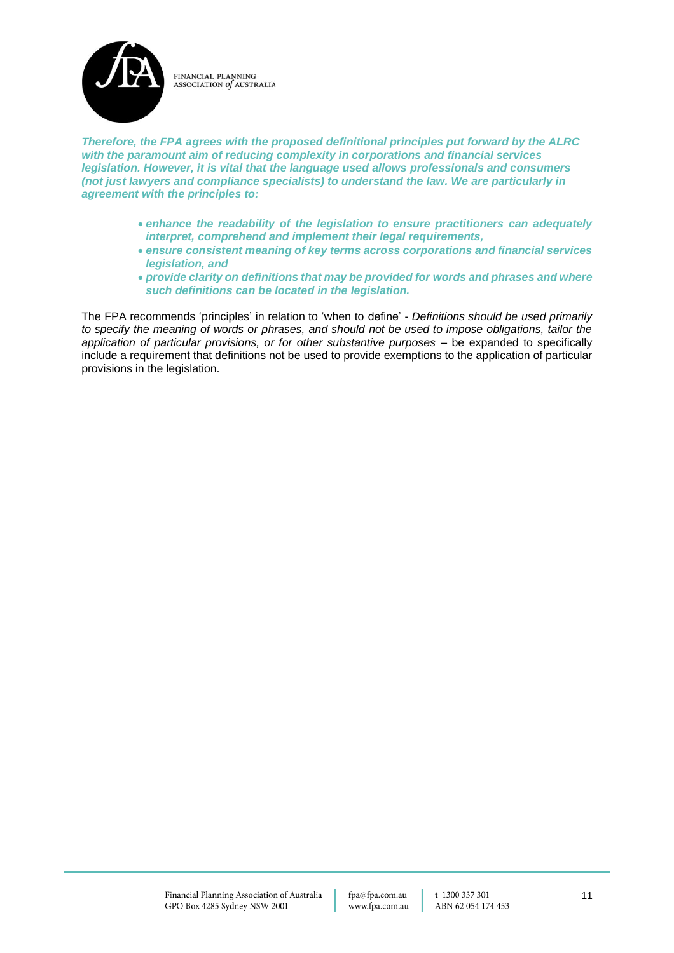

*Therefore, the FPA agrees with the proposed definitional principles put forward by the ALRC with the paramount aim of reducing complexity in corporations and financial services legislation. However, it is vital that the language used allows professionals and consumers (not just lawyers and compliance specialists) to understand the law. We are particularly in agreement with the principles to:*

- *enhance the readability of the legislation to ensure practitioners can adequately interpret, comprehend and implement their legal requirements,*
- *ensure consistent meaning of key terms across corporations and financial services legislation, and*
- *provide clarity on definitions that may be provided for words and phrases and where such definitions can be located in the legislation.*

The FPA recommends 'principles' in relation to 'when to define' - *Definitions should be used primarily to specify the meaning of words or phrases, and should not be used to impose obligations, tailor the application of particular provisions, or for other substantive purposes* – be expanded to specifically include a requirement that definitions not be used to provide exemptions to the application of particular provisions in the legislation.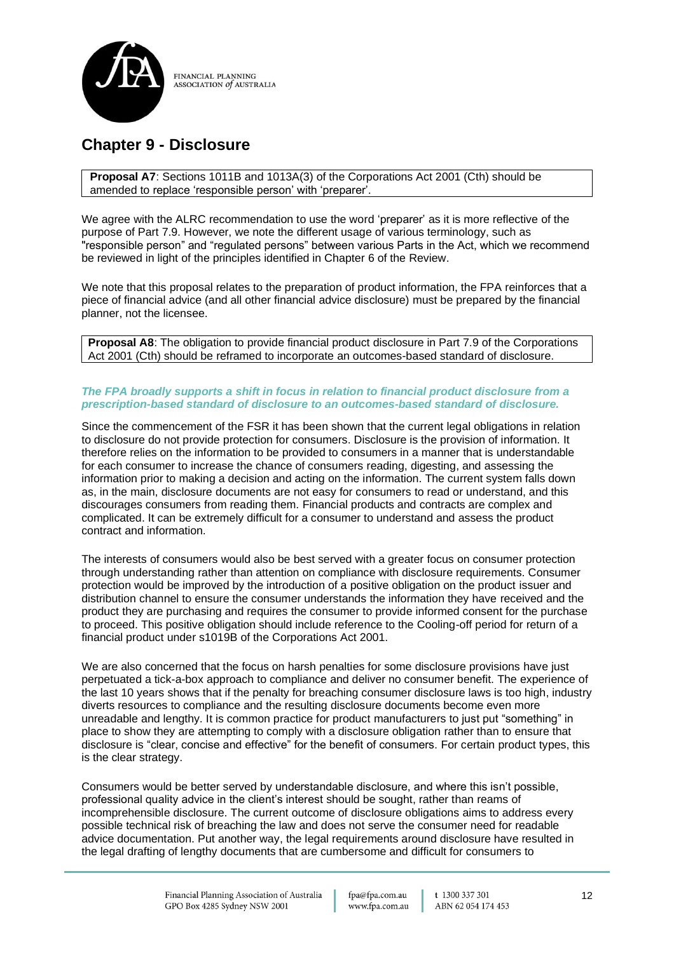

## **Chapter 9 - Disclosure**

**Proposal A7**: Sections 1011B and 1013A(3) of the Corporations Act 2001 (Cth) should be amended to replace 'responsible person' with 'preparer'.

We agree with the ALRC recommendation to use the word 'preparer' as it is more reflective of the purpose of Part 7.9. However, we note the different usage of various terminology, such as "responsible person" and "regulated persons" between various Parts in the Act, which we recommend be reviewed in light of the principles identified in Chapter 6 of the Review.

We note that this proposal relates to the preparation of product information, the FPA reinforces that a piece of financial advice (and all other financial advice disclosure) must be prepared by the financial planner, not the licensee.

**Proposal A8**: The obligation to provide financial product disclosure in Part 7.9 of the Corporations Act 2001 (Cth) should be reframed to incorporate an outcomes-based standard of disclosure.

#### *The FPA broadly supports a shift in focus in relation to financial product disclosure from a prescription-based standard of disclosure to an outcomes-based standard of disclosure.*

Since the commencement of the FSR it has been shown that the current legal obligations in relation to disclosure do not provide protection for consumers. Disclosure is the provision of information. It therefore relies on the information to be provided to consumers in a manner that is understandable for each consumer to increase the chance of consumers reading, digesting, and assessing the information prior to making a decision and acting on the information. The current system falls down as, in the main, disclosure documents are not easy for consumers to read or understand, and this discourages consumers from reading them. Financial products and contracts are complex and complicated. It can be extremely difficult for a consumer to understand and assess the product contract and information.

The interests of consumers would also be best served with a greater focus on consumer protection through understanding rather than attention on compliance with disclosure requirements. Consumer protection would be improved by the introduction of a positive obligation on the product issuer and distribution channel to ensure the consumer understands the information they have received and the product they are purchasing and requires the consumer to provide informed consent for the purchase to proceed. This positive obligation should include reference to the Cooling-off period for return of a financial product under s1019B of the Corporations Act 2001.

We are also concerned that the focus on harsh penalties for some disclosure provisions have just perpetuated a tick-a-box approach to compliance and deliver no consumer benefit. The experience of the last 10 years shows that if the penalty for breaching consumer disclosure laws is too high, industry diverts resources to compliance and the resulting disclosure documents become even more unreadable and lengthy. It is common practice for product manufacturers to just put "something" in place to show they are attempting to comply with a disclosure obligation rather than to ensure that disclosure is "clear, concise and effective" for the benefit of consumers. For certain product types, this is the clear strategy.

Consumers would be better served by understandable disclosure, and where this isn't possible, professional quality advice in the client's interest should be sought, rather than reams of incomprehensible disclosure. The current outcome of disclosure obligations aims to address every possible technical risk of breaching the law and does not serve the consumer need for readable advice documentation. Put another way, the legal requirements around disclosure have resulted in the legal drafting of lengthy documents that are cumbersome and difficult for consumers to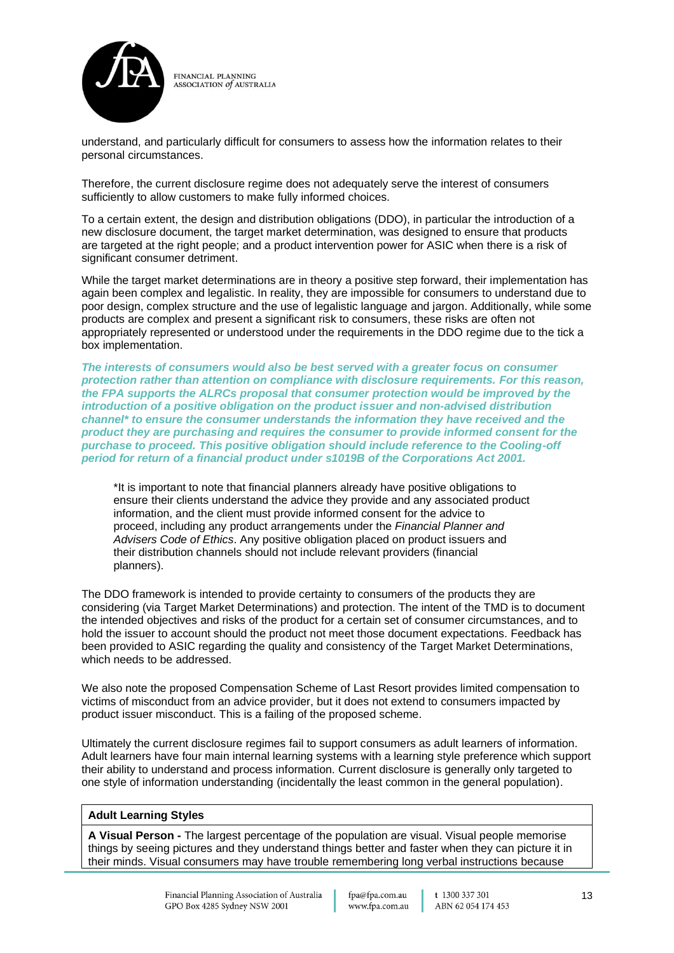

understand, and particularly difficult for consumers to assess how the information relates to their personal circumstances.

Therefore, the current disclosure regime does not adequately serve the interest of consumers sufficiently to allow customers to make fully informed choices.

To a certain extent, the design and distribution obligations (DDO), in particular the introduction of a new disclosure document, the target market determination, was designed to ensure that products are targeted at the right people; and a product intervention power for ASIC when there is a risk of significant consumer detriment.

While the target market determinations are in theory a positive step forward, their implementation has again been complex and legalistic. In reality, they are impossible for consumers to understand due to poor design, complex structure and the use of legalistic language and jargon. Additionally, while some products are complex and present a significant risk to consumers, these risks are often not appropriately represented or understood under the requirements in the DDO regime due to the tick a box implementation.

*The interests of consumers would also be best served with a greater focus on consumer protection rather than attention on compliance with disclosure requirements. For this reason, the FPA supports the ALRCs proposal that consumer protection would be improved by the introduction of a positive obligation on the product issuer and non-advised distribution channel\* to ensure the consumer understands the information they have received and the product they are purchasing and requires the consumer to provide informed consent for the purchase to proceed. This positive obligation should include reference to the Cooling-off period for return of a financial product under s1019B of the Corporations Act 2001.*

\*It is important to note that financial planners already have positive obligations to ensure their clients understand the advice they provide and any associated product information, and the client must provide informed consent for the advice to proceed, including any product arrangements under the *Financial Planner and Advisers Code of Ethics*. Any positive obligation placed on product issuers and their distribution channels should not include relevant providers (financial planners).

The DDO framework is intended to provide certainty to consumers of the products they are considering (via Target Market Determinations) and protection. The intent of the TMD is to document the intended objectives and risks of the product for a certain set of consumer circumstances, and to hold the issuer to account should the product not meet those document expectations. Feedback has been provided to ASIC regarding the quality and consistency of the Target Market Determinations, which needs to be addressed.

We also note the proposed Compensation Scheme of Last Resort provides limited compensation to victims of misconduct from an advice provider, but it does not extend to consumers impacted by product issuer misconduct. This is a failing of the proposed scheme.

Ultimately the current disclosure regimes fail to support consumers as adult learners of information. Adult learners have four main internal learning systems with a learning style preference which support their ability to understand and process information. Current disclosure is generally only targeted to one style of information understanding (incidentally the least common in the general population).

#### **Adult Learning Styles**

**A Visual Person -** The largest percentage of the population are visual. Visual people memorise things by seeing pictures and they understand things better and faster when they can picture it in their minds. Visual consumers may have trouble remembering long verbal instructions because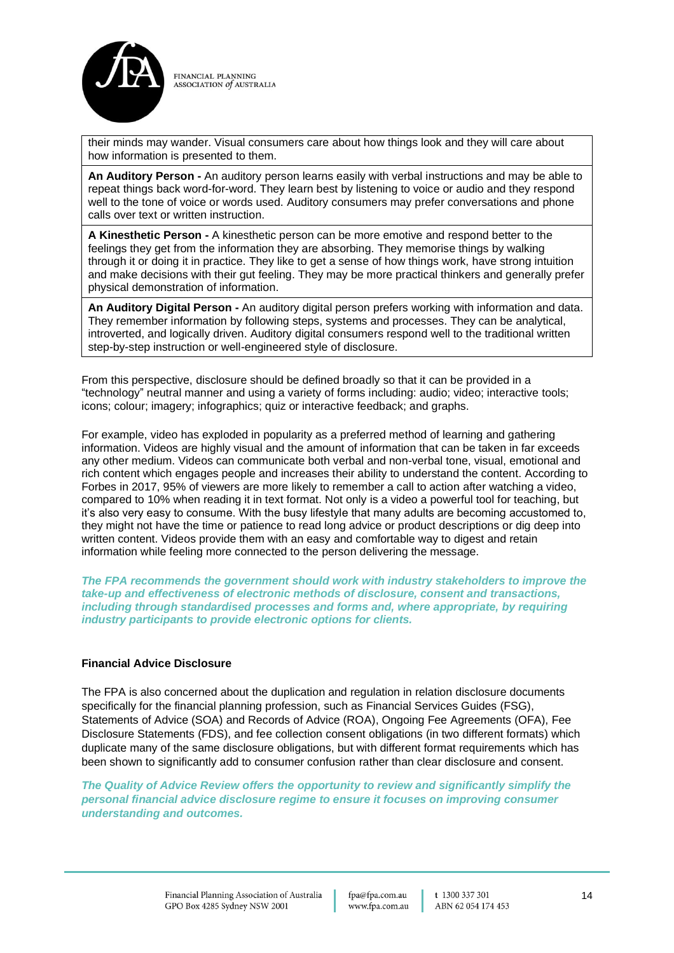

their minds may wander. Visual consumers care about how things look and they will care about how information is presented to them.

**An Auditory Person -** An auditory person learns easily with verbal instructions and may be able to repeat things back word-for-word. They learn best by listening to voice or audio and they respond well to the tone of voice or words used. Auditory consumers may prefer conversations and phone calls over text or written instruction.

**A Kinesthetic Person -** A kinesthetic person can be more emotive and respond better to the feelings they get from the information they are absorbing. They memorise things by walking through it or doing it in practice. They like to get a sense of how things work, have strong intuition and make decisions with their gut feeling. They may be more practical thinkers and generally prefer physical demonstration of information.

**An Auditory Digital Person -** An auditory digital person prefers working with information and data. They remember information by following steps, systems and processes. They can be analytical, introverted, and logically driven. Auditory digital consumers respond well to the traditional written step-by-step instruction or well-engineered style of disclosure.

From this perspective, disclosure should be defined broadly so that it can be provided in a "technology" neutral manner and using a variety of forms including: audio; video; interactive tools; icons; colour; imagery; infographics; quiz or interactive feedback; and graphs.

For example, video has exploded in popularity as a preferred method of learning and gathering information. Videos are highly visual and the amount of information that can be taken in far exceeds any other medium. Videos can communicate both verbal and non-verbal tone, visual, emotional and rich content which engages people and increases their ability to understand the content. According to Forbes in 2017, 95% of viewers are more likely to remember a call to action after watching a video, compared to 10% when reading it in text format. Not only is a video a powerful tool for teaching, but it's also very easy to consume. With the busy lifestyle that many adults are becoming accustomed to, they might not have the time or patience to read long advice or product descriptions or dig deep into written content. Videos provide them with an easy and comfortable way to digest and retain information while feeling more connected to the person delivering the message.

*The FPA recommends the government should work with industry stakeholders to improve the take-up and effectiveness of electronic methods of disclosure, consent and transactions, including through standardised processes and forms and, where appropriate, by requiring industry participants to provide electronic options for clients.* 

### **Financial Advice Disclosure**

The FPA is also concerned about the duplication and regulation in relation disclosure documents specifically for the financial planning profession, such as Financial Services Guides (FSG), Statements of Advice (SOA) and Records of Advice (ROA), Ongoing Fee Agreements (OFA), Fee Disclosure Statements (FDS), and fee collection consent obligations (in two different formats) which duplicate many of the same disclosure obligations, but with different format requirements which has been shown to significantly add to consumer confusion rather than clear disclosure and consent.

*The Quality of Advice Review offers the opportunity to review and significantly simplify the personal financial advice disclosure regime to ensure it focuses on improving consumer understanding and outcomes.*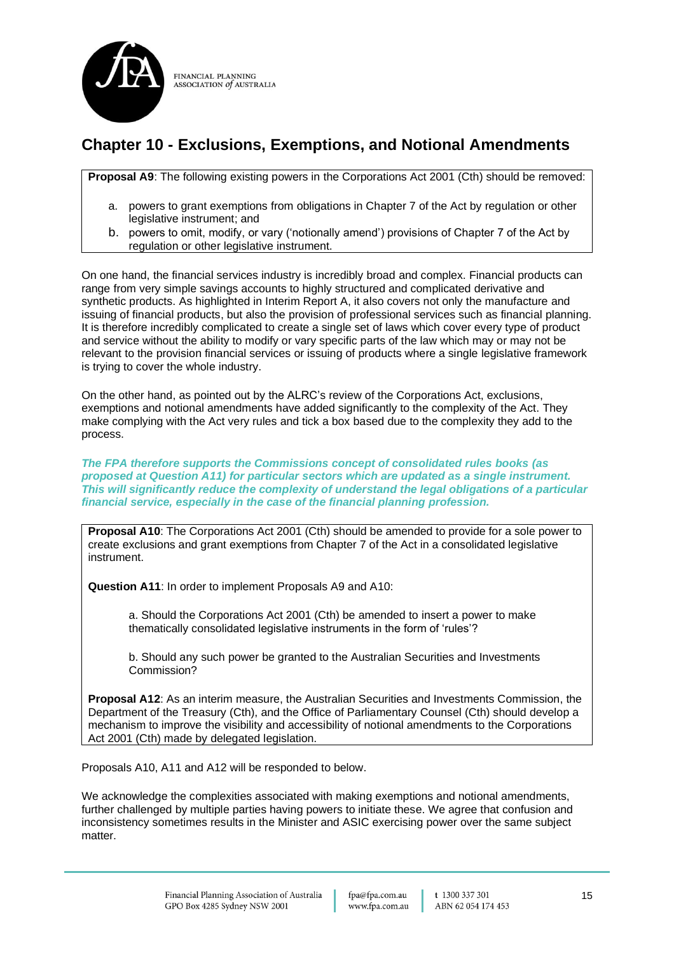

## **Chapter 10 - Exclusions, Exemptions, and Notional Amendments**

**Proposal A9**: The following existing powers in the Corporations Act 2001 (Cth) should be removed:

- a. powers to grant exemptions from obligations in Chapter 7 of the Act by regulation or other legislative instrument; and
- b. powers to omit, modify, or vary ('notionally amend') provisions of Chapter 7 of the Act by regulation or other legislative instrument.

On one hand, the financial services industry is incredibly broad and complex. Financial products can range from very simple savings accounts to highly structured and complicated derivative and synthetic products. As highlighted in Interim Report A, it also covers not only the manufacture and issuing of financial products, but also the provision of professional services such as financial planning. It is therefore incredibly complicated to create a single set of laws which cover every type of product and service without the ability to modify or vary specific parts of the law which may or may not be relevant to the provision financial services or issuing of products where a single legislative framework is trying to cover the whole industry.

On the other hand, as pointed out by the ALRC's review of the Corporations Act, exclusions, exemptions and notional amendments have added significantly to the complexity of the Act. They make complying with the Act very rules and tick a box based due to the complexity they add to the process.

*The FPA therefore supports the Commissions concept of consolidated rules books (as proposed at Question A11) for particular sectors which are updated as a single instrument. This will significantly reduce the complexity of understand the legal obligations of a particular financial service, especially in the case of the financial planning profession.*

**Proposal A10**: The Corporations Act 2001 (Cth) should be amended to provide for a sole power to create exclusions and grant exemptions from Chapter 7 of the Act in a consolidated legislative instrument.

**Question A11**: In order to implement Proposals A9 and A10:

a. Should the Corporations Act 2001 (Cth) be amended to insert a power to make thematically consolidated legislative instruments in the form of 'rules'?

b. Should any such power be granted to the Australian Securities and Investments Commission?

**Proposal A12**: As an interim measure, the Australian Securities and Investments Commission, the Department of the Treasury (Cth), and the Office of Parliamentary Counsel (Cth) should develop a mechanism to improve the visibility and accessibility of notional amendments to the Corporations Act 2001 (Cth) made by delegated legislation.

Proposals A10, A11 and A12 will be responded to below.

We acknowledge the complexities associated with making exemptions and notional amendments, further challenged by multiple parties having powers to initiate these. We agree that confusion and inconsistency sometimes results in the Minister and ASIC exercising power over the same subject matter.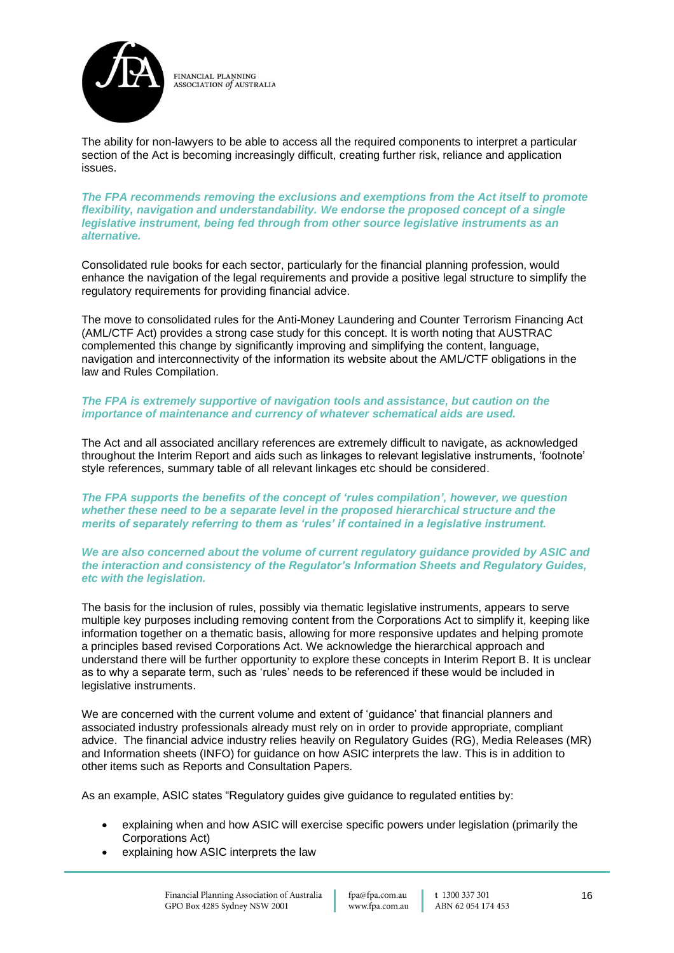

The ability for non-lawyers to be able to access all the required components to interpret a particular section of the Act is becoming increasingly difficult, creating further risk, reliance and application issues.

*The FPA recommends removing the exclusions and exemptions from the Act itself to promote flexibility, navigation and understandability. We endorse the proposed concept of a single legislative instrument, being fed through from other source legislative instruments as an alternative.*

Consolidated rule books for each sector, particularly for the financial planning profession, would enhance the navigation of the legal requirements and provide a positive legal structure to simplify the regulatory requirements for providing financial advice.

The move to consolidated rules for the Anti-Money Laundering and Counter Terrorism Financing Act (AML/CTF Act) provides a strong case study for this concept. It is worth noting that AUSTRAC complemented this change by significantly improving and simplifying the content, language, navigation and interconnectivity of the information its website about the AML/CTF obligations in the law and Rules Compilation.

#### *The FPA is extremely supportive of navigation tools and assistance, but caution on the importance of maintenance and currency of whatever schematical aids are used.*

The Act and all associated ancillary references are extremely difficult to navigate, as acknowledged throughout the Interim Report and aids such as linkages to relevant legislative instruments, 'footnote' style references, summary table of all relevant linkages etc should be considered.

*The FPA supports the benefits of the concept of 'rules compilation', however, we question whether these need to be a separate level in the proposed hierarchical structure and the merits of separately referring to them as 'rules' if contained in a legislative instrument.* 

*We are also concerned about the volume of current regulatory guidance provided by ASIC and the interaction and consistency of the Regulator's Information Sheets and Regulatory Guides, etc with the legislation.* 

The basis for the inclusion of rules, possibly via thematic legislative instruments, appears to serve multiple key purposes including removing content from the Corporations Act to simplify it, keeping like information together on a thematic basis, allowing for more responsive updates and helping promote a principles based revised Corporations Act. We acknowledge the hierarchical approach and understand there will be further opportunity to explore these concepts in Interim Report B. It is unclear as to why a separate term, such as 'rules' needs to be referenced if these would be included in legislative instruments.

We are concerned with the current volume and extent of 'guidance' that financial planners and associated industry professionals already must rely on in order to provide appropriate, compliant advice. The financial advice industry relies heavily on Regulatory Guides (RG), Media Releases (MR) and Information sheets (INFO) for guidance on how ASIC interprets the law. This is in addition to other items such as Reports and Consultation Papers.

As an example, ASIC states "Regulatory guides give guidance to regulated entities by:

- explaining when and how ASIC will exercise specific powers under legislation (primarily the Corporations Act)
- explaining how ASIC interprets the law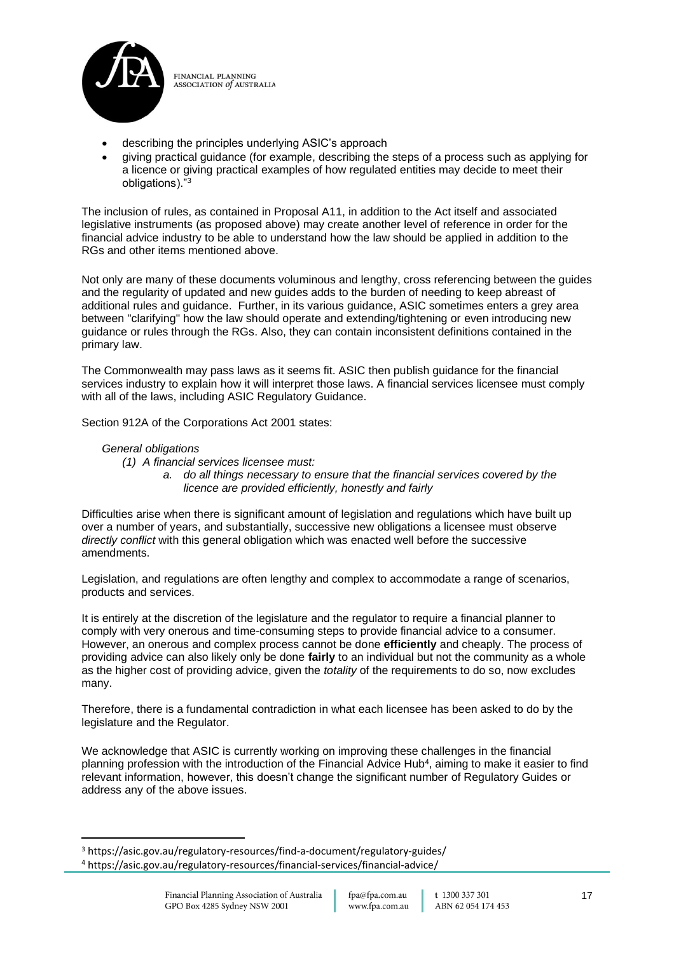

- describing the principles underlying ASIC's approach
- giving practical guidance (for example, describing the steps of a process such as applying for a licence or giving practical examples of how regulated entities may decide to meet their obligations)."<sup>3</sup>

The inclusion of rules, as contained in Proposal A11, in addition to the Act itself and associated legislative instruments (as proposed above) may create another level of reference in order for the financial advice industry to be able to understand how the law should be applied in addition to the RGs and other items mentioned above.

Not only are many of these documents voluminous and lengthy, cross referencing between the guides and the regularity of updated and new guides adds to the burden of needing to keep abreast of additional rules and guidance. Further, in its various guidance, ASIC sometimes enters a grey area between "clarifying" how the law should operate and extending/tightening or even introducing new guidance or rules through the RGs. Also, they can contain inconsistent definitions contained in the primary law.

The Commonwealth may pass laws as it seems fit. ASIC then publish guidance for the financial services industry to explain how it will interpret those laws. A financial services licensee must comply with all of the laws, including ASIC Regulatory Guidance.

Section 912A of the Corporations Act 2001 states:

### *General obligations*

- *(1) A financial services licensee must:*
	- *a. do all things necessary to ensure that the financial services covered by the licence are provided efficiently, honestly and fairly*

Difficulties arise when there is significant amount of legislation and regulations which have built up over a number of years, and substantially, successive new obligations a licensee must observe *directly conflict* with this general obligation which was enacted well before the successive amendments.

Legislation, and regulations are often lengthy and complex to accommodate a range of scenarios, products and services.

It is entirely at the discretion of the legislature and the regulator to require a financial planner to comply with very onerous and time-consuming steps to provide financial advice to a consumer. However, an onerous and complex process cannot be done **efficiently** and cheaply. The process of providing advice can also likely only be done **fairly** to an individual but not the community as a whole as the higher cost of providing advice, given the *totality* of the requirements to do so, now excludes many.

Therefore, there is a fundamental contradiction in what each licensee has been asked to do by the legislature and the Regulator.

We acknowledge that ASIC is currently working on improving these challenges in the financial planning profession with the introduction of the Financial Advice Hub<sup>4</sup>, aiming to make it easier to find relevant information, however, this doesn't change the significant number of Regulatory Guides or address any of the above issues.

<sup>3</sup> https://asic.gov.au/regulatory-resources/find-a-document/regulatory-guides/ <sup>4</sup> https://asic.gov.au/regulatory-resources/financial-services/financial-advice/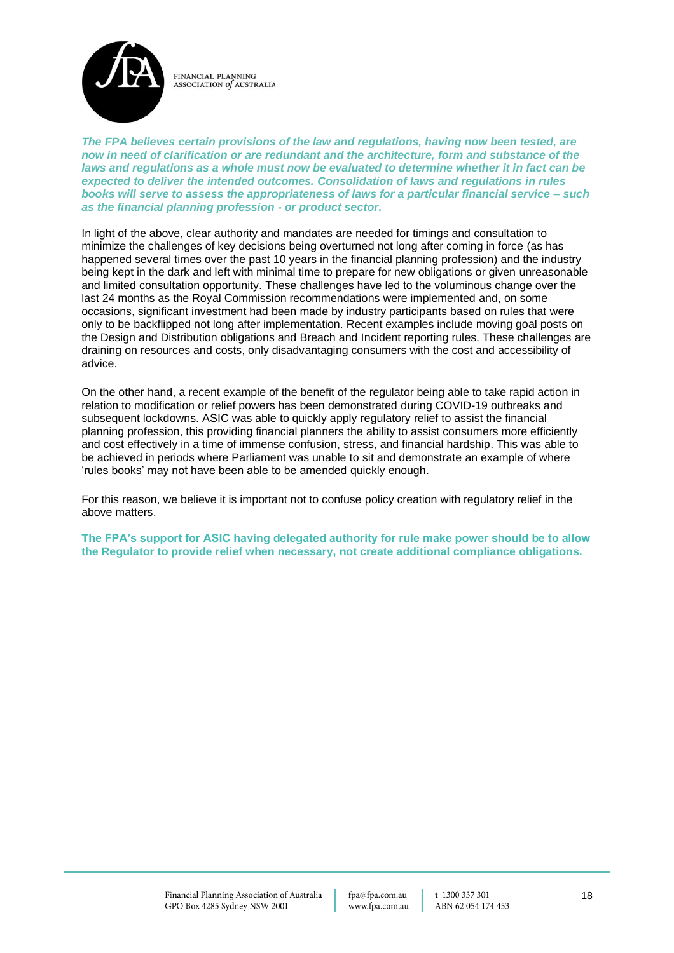

*The FPA believes certain provisions of the law and regulations, having now been tested, are now in need of clarification or are redundant and the architecture, form and substance of the laws and regulations as a whole must now be evaluated to determine whether it in fact can be expected to deliver the intended outcomes. Consolidation of laws and regulations in rules books will serve to assess the appropriateness of laws for a particular financial service – such as the financial planning profession - or product sector.*

In light of the above, clear authority and mandates are needed for timings and consultation to minimize the challenges of key decisions being overturned not long after coming in force (as has happened several times over the past 10 years in the financial planning profession) and the industry being kept in the dark and left with minimal time to prepare for new obligations or given unreasonable and limited consultation opportunity. These challenges have led to the voluminous change over the last 24 months as the Royal Commission recommendations were implemented and, on some occasions, significant investment had been made by industry participants based on rules that were only to be backflipped not long after implementation. Recent examples include moving goal posts on the Design and Distribution obligations and Breach and Incident reporting rules. These challenges are draining on resources and costs, only disadvantaging consumers with the cost and accessibility of advice.

On the other hand, a recent example of the benefit of the regulator being able to take rapid action in relation to modification or relief powers has been demonstrated during COVID-19 outbreaks and subsequent lockdowns. ASIC was able to quickly apply regulatory relief to assist the financial planning profession, this providing financial planners the ability to assist consumers more efficiently and cost effectively in a time of immense confusion, stress, and financial hardship. This was able to be achieved in periods where Parliament was unable to sit and demonstrate an example of where 'rules books' may not have been able to be amended quickly enough.

For this reason, we believe it is important not to confuse policy creation with regulatory relief in the above matters.

**The FPA's support for ASIC having delegated authority for rule make power should be to allow the Regulator to provide relief when necessary, not create additional compliance obligations.**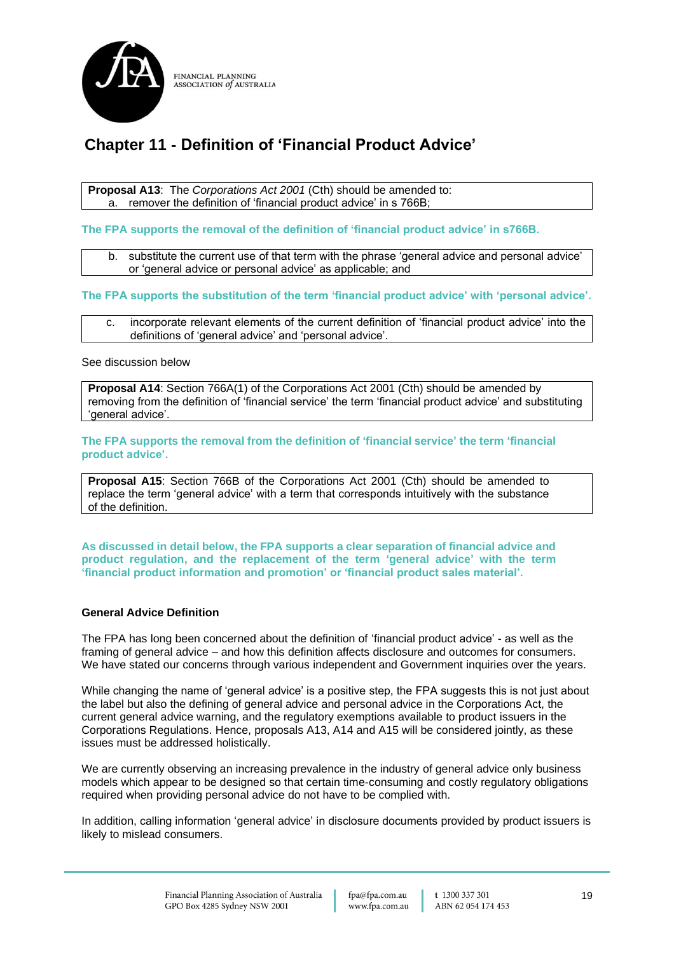

## **Chapter 11 - Definition of 'Financial Product Advice'**

**Proposal A13**: The *Corporations Act 2001* (Cth) should be amended to: a. remover the definition of 'financial product advice' in s 766B;

**The FPA supports the removal of the definition of 'financial product advice' in s766B.**

b. substitute the current use of that term with the phrase 'general advice and personal advice' or 'general advice or personal advice' as applicable; and

#### **The FPA supports the substitution of the term 'financial product advice' with 'personal advice'.**

c. incorporate relevant elements of the current definition of 'financial product advice' into the definitions of 'general advice' and 'personal advice'.

See discussion below

**Proposal A14**: Section 766A(1) of the Corporations Act 2001 (Cth) should be amended by removing from the definition of 'financial service' the term 'financial product advice' and substituting 'general advice'.

**The FPA supports the removal from the definition of 'financial service' the term 'financial product advice'.**

**Proposal A15**: Section 766B of the Corporations Act 2001 (Cth) should be amended to replace the term 'general advice' with a term that corresponds intuitively with the substance of the definition.

**As discussed in detail below, the FPA supports a clear separation of financial advice and product regulation, and the replacement of the term 'general advice' with the term 'financial product information and promotion' or 'financial product sales material'.**

#### **General Advice Definition**

The FPA has long been concerned about the definition of 'financial product advice' - as well as the framing of general advice – and how this definition affects disclosure and outcomes for consumers. We have stated our concerns through various independent and Government inquiries over the years.

While changing the name of 'general advice' is a positive step, the FPA suggests this is not just about the label but also the defining of general advice and personal advice in the Corporations Act, the current general advice warning, and the regulatory exemptions available to product issuers in the Corporations Regulations. Hence, proposals A13, A14 and A15 will be considered jointly, as these issues must be addressed holistically.

We are currently observing an increasing prevalence in the industry of general advice only business models which appear to be designed so that certain time-consuming and costly regulatory obligations required when providing personal advice do not have to be complied with.

In addition, calling information 'general advice' in disclosure documents provided by product issuers is likely to mislead consumers.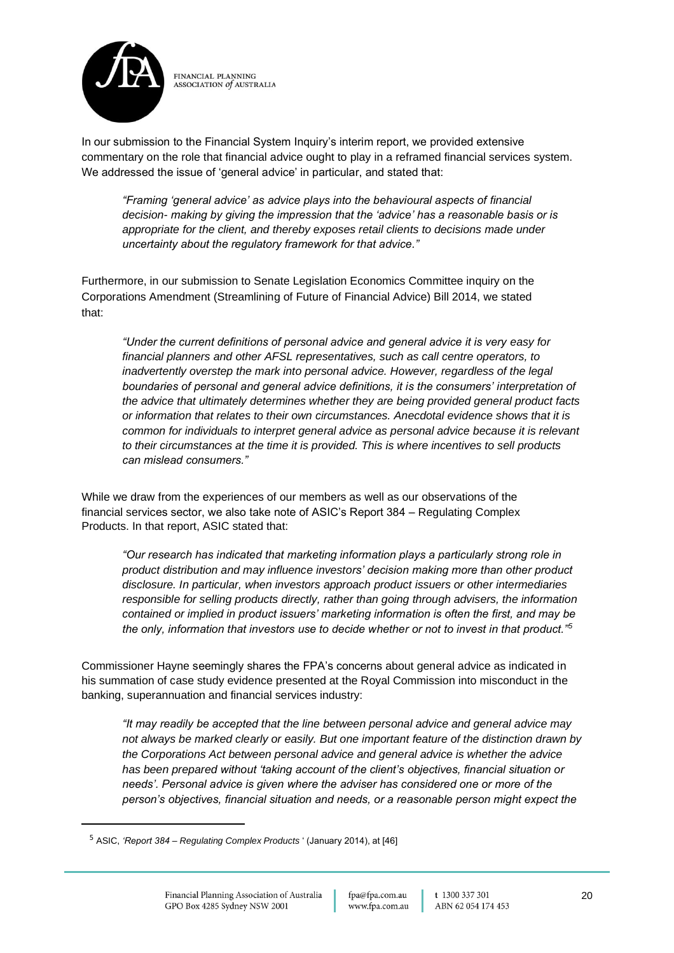

In our submission to the Financial System Inquiry's interim report, we provided extensive commentary on the role that financial advice ought to play in a reframed financial services system. We addressed the issue of 'general advice' in particular, and stated that:

*"Framing 'general advice' as advice plays into the behavioural aspects of financial decision- making by giving the impression that the 'advice' has a reasonable basis or is appropriate for the client, and thereby exposes retail clients to decisions made under uncertainty about the regulatory framework for that advice."*

Furthermore, in our submission to Senate Legislation Economics Committee inquiry on the Corporations Amendment (Streamlining of Future of Financial Advice) Bill 2014, we stated that:

*"Under the current definitions of personal advice and general advice it is very easy for financial planners and other AFSL representatives, such as call centre operators, to inadvertently overstep the mark into personal advice. However, regardless of the legal boundaries of personal and general advice definitions, it is the consumers' interpretation of the advice that ultimately determines whether they are being provided general product facts or information that relates to their own circumstances. Anecdotal evidence shows that it is common for individuals to interpret general advice as personal advice because it is relevant to their circumstances at the time it is provided. This is where incentives to sell products can mislead consumers."*

While we draw from the experiences of our members as well as our observations of the financial services sector, we also take note of ASIC's Report 384 – Regulating Complex Products. In that report, ASIC stated that:

*"Our research has indicated that marketing information plays a particularly strong role in product distribution and may influence investors' decision making more than other product disclosure. In particular, when investors approach product issuers or other intermediaries responsible for selling products directly, rather than going through advisers, the information contained or implied in product issuers' marketing information is often the first, and may be the only, information that investors use to decide whether or not to invest in that product."<sup>5</sup>*

Commissioner Hayne seemingly shares the FPA's concerns about general advice as indicated in his summation of case study evidence presented at the Royal Commission into misconduct in the banking, superannuation and financial services industry:

*"It may readily be accepted that the line between personal advice and general advice may not always be marked clearly or easily. But one important feature of the distinction drawn by the Corporations Act between personal advice and general advice is whether the advice has been prepared without 'taking account of the client's objectives, financial situation or needs'. Personal advice is given where the adviser has considered one or more of the person's objectives, financial situation and needs, or a reasonable person might expect the* 

<sup>5</sup> ASIC, *'Report 384 – Regulating Complex Products* ' (January 2014), at [46]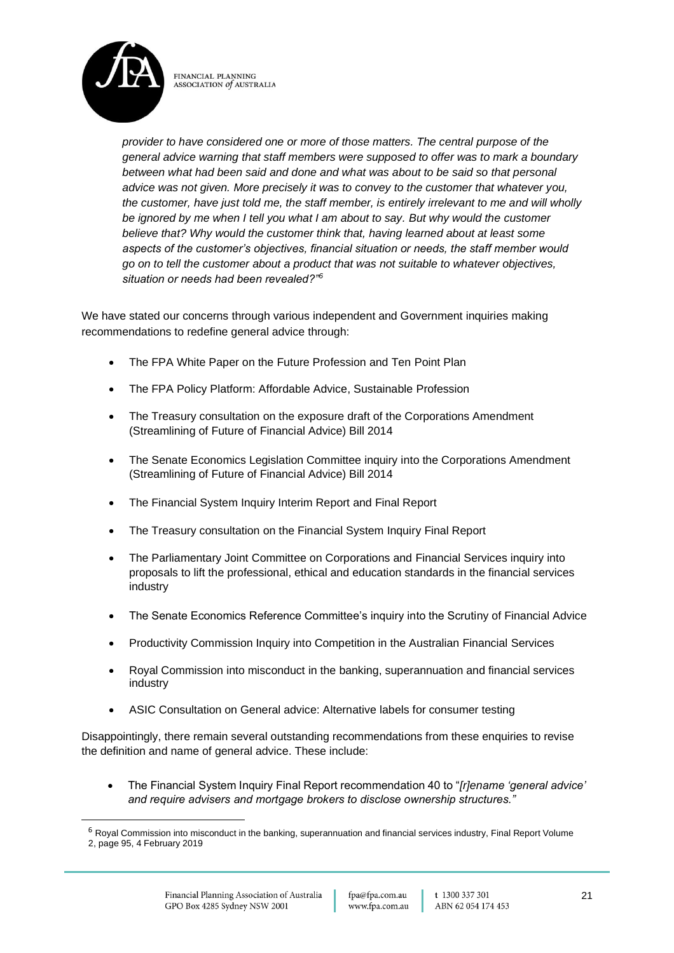

*provider to have considered one or more of those matters. The central purpose of the general advice warning that staff members were supposed to offer was to mark a boundary between what had been said and done and what was about to be said so that personal advice was not given. More precisely it was to convey to the customer that whatever you, the customer, have just told me, the staff member, is entirely irrelevant to me and will wholly be ignored by me when I tell you what I am about to say. But why would the customer believe that? Why would the customer think that, having learned about at least some aspects of the customer's objectives, financial situation or needs, the staff member would go on to tell the customer about a product that was not suitable to whatever objectives, situation or needs had been revealed?"<sup>6</sup>*

We have stated our concerns through various independent and Government inquiries making recommendations to redefine general advice through:

- The FPA White Paper on the Future Profession and Ten Point Plan
- The FPA Policy Platform: Affordable Advice, Sustainable Profession
- The Treasury consultation on the exposure draft of the Corporations Amendment (Streamlining of Future of Financial Advice) Bill 2014
- The Senate Economics Legislation Committee inquiry into the Corporations Amendment (Streamlining of Future of Financial Advice) Bill 2014
- The Financial System Inquiry Interim Report and Final Report
- The Treasury consultation on the Financial System Inquiry Final Report
- The Parliamentary Joint Committee on Corporations and Financial Services inquiry into proposals to lift the professional, ethical and education standards in the financial services industry
- The Senate Economics Reference Committee's inquiry into the Scrutiny of Financial Advice
- Productivity Commission Inquiry into Competition in the Australian Financial Services
- Royal Commission into misconduct in the banking, superannuation and financial services industry
- ASIC Consultation on General advice: Alternative labels for consumer testing

Disappointingly, there remain several outstanding recommendations from these enquiries to revise the definition and name of general advice. These include:

• The Financial System Inquiry Final Report recommendation 40 to "*[r]ename 'general advice' and require advisers and mortgage brokers to disclose ownership structures."*

<sup>&</sup>lt;sup>6</sup> Royal Commission into misconduct in the banking, superannuation and financial services industry, Final Report Volume 2, page 95, 4 February 2019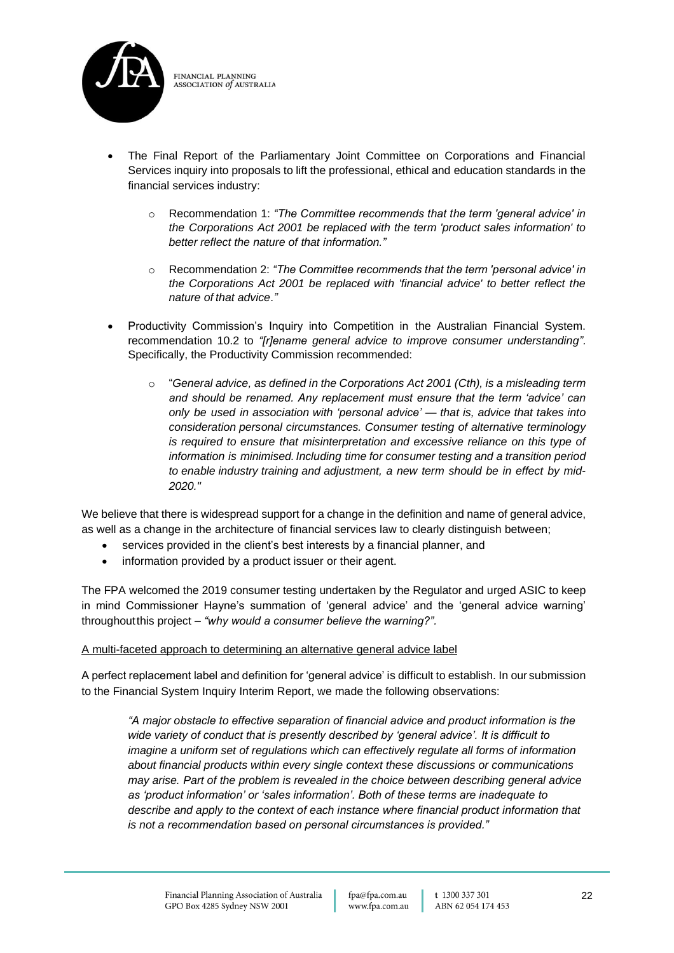

- The Final Report of the Parliamentary Joint Committee on Corporations and Financial Services inquiry into proposals to lift the professional, ethical and education standards in the financial services industry:
	- o Recommendation 1: *"The Committee recommends that the term 'general advice' in the Corporations Act 2001 be replaced with the term 'product sales information' to better reflect the nature of that information."*
	- o Recommendation 2: *"The Committee recommends that the term 'personal advice' in the Corporations Act 2001 be replaced with 'financial advice' to better reflect the nature of that advice."*
- Productivity Commission's Inquiry into Competition in the Australian Financial System. recommendation 10.2 to *"[r]ename general advice to improve consumer understanding".* Specifically, the Productivity Commission recommended:
	- o "*General advice, as defined in the Corporations Act 2001 (Cth), is a misleading term and should be renamed. Any replacement must ensure that the term 'advice' can only be used in association with 'personal advice' — that is, advice that takes into consideration personal circumstances. Consumer testing of alternative terminology is required to ensure that misinterpretation and excessive reliance on this type of information is minimised.Including time for consumer testing and a transition period to enable industry training and adjustment, a new term should be in effect by mid-2020."*

We believe that there is widespread support for a change in the definition and name of general advice, as well as a change in the architecture of financial services law to clearly distinguish between;

- services provided in the client's best interests by a financial planner, and
- information provided by a product issuer or their agent.

The FPA welcomed the 2019 consumer testing undertaken by the Regulator and urged ASIC to keep in mind Commissioner Hayne's summation of 'general advice' and the 'general advice warning' throughoutthis project – *"why would a consumer believe the warning?".*

## A multi-faceted approach to determining an alternative general advice label

A perfect replacement label and definition for 'general advice' is difficult to establish. In our submission to the Financial System Inquiry Interim Report, we made the following observations:

*"A major obstacle to effective separation of financial advice and product information is the wide variety of conduct that is presently described by 'general advice'. It is difficult to imagine a uniform set of regulations which can effectively regulate all forms of information about financial products within every single context these discussions or communications may arise. Part of the problem is revealed in the choice between describing general advice as 'product information' or 'sales information'. Both of these terms are inadequate to describe and apply to the context of each instance where financial product information that is not a recommendation based on personal circumstances is provided."*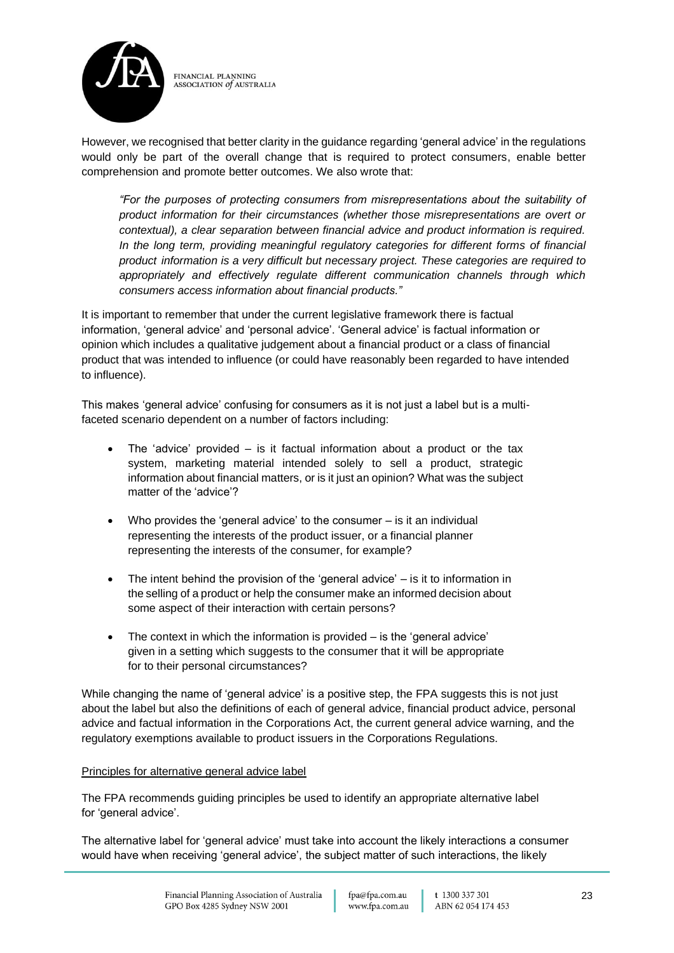

However, we recognised that better clarity in the guidance regarding 'general advice' in the regulations would only be part of the overall change that is required to protect consumers, enable better comprehension and promote better outcomes. We also wrote that:

*"For the purposes of protecting consumers from misrepresentations about the suitability of product information for their circumstances (whether those misrepresentations are overt or contextual), a clear separation between financial advice and product information is required. In the long term, providing meaningful regulatory categories for different forms of financial product information is a very difficult but necessary project. These categories are required to appropriately and effectively regulate different communication channels through which consumers access information about financial products."*

It is important to remember that under the current legislative framework there is factual information, 'general advice' and 'personal advice'. 'General advice' is factual information or opinion which includes a qualitative judgement about a financial product or a class of financial product that was intended to influence (or could have reasonably been regarded to have intended to influence).

This makes 'general advice' confusing for consumers as it is not just a label but is a multifaceted scenario dependent on a number of factors including:

- The 'advice' provided  $-$  is it factual information about a product or the tax system, marketing material intended solely to sell a product, strategic information about financial matters, or is it just an opinion? What was the subject matter of the 'advice'?
- Who provides the 'general advice' to the consumer is it an individual representing the interests of the product issuer, or a financial planner representing the interests of the consumer, for example?
- The intent behind the provision of the 'general advice'  $-$  is it to information in the selling of a product or help the consumer make an informed decision about some aspect of their interaction with certain persons?
- The context in which the information is provided is the 'general advice' given in a setting which suggests to the consumer that it will be appropriate for to their personal circumstances?

While changing the name of 'general advice' is a positive step, the FPA suggests this is not just about the label but also the definitions of each of general advice, financial product advice, personal advice and factual information in the Corporations Act, the current general advice warning, and the regulatory exemptions available to product issuers in the Corporations Regulations.

## Principles for alternative general advice label

The FPA recommends guiding principles be used to identify an appropriate alternative label for 'general advice'.

The alternative label for 'general advice' must take into account the likely interactions a consumer would have when receiving 'general advice', the subject matter of such interactions, the likely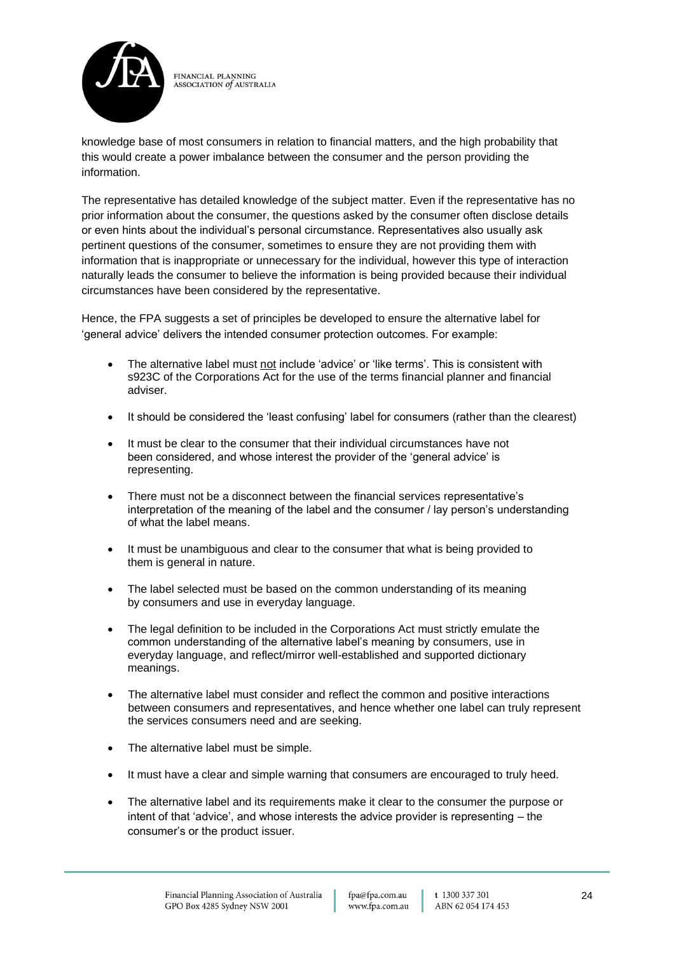

knowledge base of most consumers in relation to financial matters, and the high probability that this would create a power imbalance between the consumer and the person providing the information.

The representative has detailed knowledge of the subject matter. Even if the representative has no prior information about the consumer, the questions asked by the consumer often disclose details or even hints about the individual's personal circumstance. Representatives also usually ask pertinent questions of the consumer, sometimes to ensure they are not providing them with information that is inappropriate or unnecessary for the individual, however this type of interaction naturally leads the consumer to believe the information is being provided because their individual circumstances have been considered by the representative.

Hence, the FPA suggests a set of principles be developed to ensure the alternative label for 'general advice' delivers the intended consumer protection outcomes. For example:

- The alternative label must not include 'advice' or 'like terms'. This is consistent with s923C of the Corporations Act for the use of the terms financial planner and financial adviser.
- It should be considered the 'least confusing' label for consumers (rather than the clearest)
- It must be clear to the consumer that their individual circumstances have not been considered, and whose interest the provider of the 'general advice' is representing.
- There must not be a disconnect between the financial services representative's interpretation of the meaning of the label and the consumer / lay person's understanding of what the label means.
- It must be unambiguous and clear to the consumer that what is being provided to them is general in nature.
- The label selected must be based on the common understanding of its meaning by consumers and use in everyday language.
- The legal definition to be included in the Corporations Act must strictly emulate the common understanding of the alternative label's meaning by consumers, use in everyday language, and reflect/mirror well-established and supported dictionary meanings.
- The alternative label must consider and reflect the common and positive interactions between consumers and representatives, and hence whether one label can truly represent the services consumers need and are seeking.
- The alternative label must be simple.
- It must have a clear and simple warning that consumers are encouraged to truly heed.
- The alternative label and its requirements make it clear to the consumer the purpose or intent of that 'advice', and whose interests the advice provider is representing – the consumer's or the product issuer.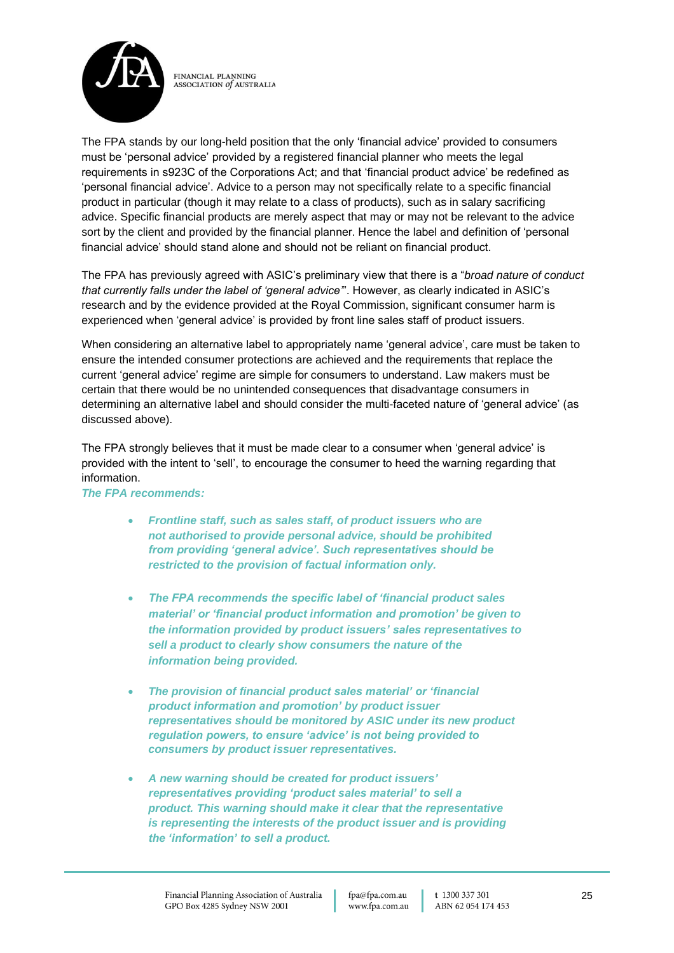

The FPA stands by our long-held position that the only 'financial advice' provided to consumers must be 'personal advice' provided by a registered financial planner who meets the legal requirements in s923C of the Corporations Act; and that 'financial product advice' be redefined as 'personal financial advice'. Advice to a person may not specifically relate to a specific financial product in particular (though it may relate to a class of products), such as in salary sacrificing advice. Specific financial products are merely aspect that may or may not be relevant to the advice sort by the client and provided by the financial planner. Hence the label and definition of 'personal financial advice' should stand alone and should not be reliant on financial product.

The FPA has previously agreed with ASIC's preliminary view that there is a "*broad nature of conduct that currently falls under the label of 'general advice'*". However, as clearly indicated in ASIC's research and by the evidence provided at the Royal Commission, significant consumer harm is experienced when 'general advice' is provided by front line sales staff of product issuers.

When considering an alternative label to appropriately name 'general advice', care must be taken to ensure the intended consumer protections are achieved and the requirements that replace the current 'general advice' regime are simple for consumers to understand. Law makers must be certain that there would be no unintended consequences that disadvantage consumers in determining an alternative label and should consider the multi-faceted nature of 'general advice' (as discussed above).

The FPA strongly believes that it must be made clear to a consumer when 'general advice' is provided with the intent to 'sell', to encourage the consumer to heed the warning regarding that information.

#### *The FPA recommends:*

- *Frontline staff, such as sales staff, of product issuers who are not authorised to provide personal advice, should be prohibited from providing 'general advice'. Such representatives should be restricted to the provision of factual information only.*
- *The FPA recommends the specific label of 'financial product sales material' or 'financial product information and promotion' be given to the information provided by product issuers' sales representatives to sell a product to clearly show consumers the nature of the information being provided.*
- *The provision of financial product sales material' or 'financial product information and promotion' by product issuer representatives should be monitored by ASIC under its new product regulation powers, to ensure 'advice' is not being provided to consumers by product issuer representatives.*
- *A new warning should be created for product issuers' representatives providing 'product sales material' to sell a product. This warning should make it clear that the representative is representing the interests of the product issuer and is providing the 'information' to sell a product.*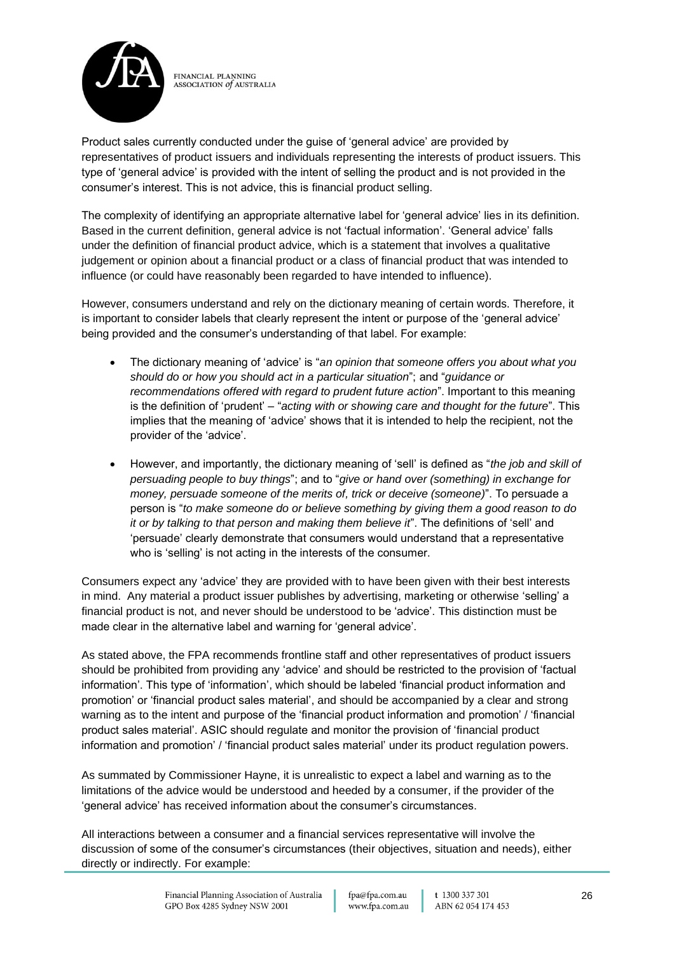

Product sales currently conducted under the guise of 'general advice' are provided by representatives of product issuers and individuals representing the interests of product issuers. This type of 'general advice' is provided with the intent of selling the product and is not provided in the consumer's interest. This is not advice, this is financial product selling.

The complexity of identifying an appropriate alternative label for 'general advice' lies in its definition. Based in the current definition, general advice is not 'factual information'. 'General advice' falls under the definition of financial product advice, which is a statement that involves a qualitative judgement or opinion about a financial product or a class of financial product that was intended to influence (or could have reasonably been regarded to have intended to influence).

However, consumers understand and rely on the dictionary meaning of certain words. Therefore, it is important to consider labels that clearly represent the intent or purpose of the 'general advice' being provided and the consumer's understanding of that label. For example:

- The dictionary meaning of 'advice' is "*an opinion that someone offers you about what you should do or how you should act in a particular situation*"; and "*guidance or recommendations offered with regard to prudent future action*". Important to this meaning is the definition of 'prudent' – "*acting with or showing care and thought for the future*". This implies that the meaning of 'advice' shows that it is intended to help the recipient, not the provider of the 'advice'.
- However, and importantly, the dictionary meaning of 'sell' is defined as "*the job and skill of persuading people to buy things*"; and to "*give or hand over (something) in exchange for money, persuade someone of the merits of, trick or deceive (someone)*". To persuade a person is "*to make someone do or believe something by giving them a good reason to do it or by talking to that person and making them believe it*". The definitions of 'sell' and 'persuade' clearly demonstrate that consumers would understand that a representative who is 'selling' is not acting in the interests of the consumer.

Consumers expect any 'advice' they are provided with to have been given with their best interests in mind. Any material a product issuer publishes by advertising, marketing or otherwise 'selling' a financial product is not, and never should be understood to be 'advice'. This distinction must be made clear in the alternative label and warning for 'general advice'.

As stated above, the FPA recommends frontline staff and other representatives of product issuers should be prohibited from providing any 'advice' and should be restricted to the provision of 'factual information'. This type of 'information', which should be labeled 'financial product information and promotion' or 'financial product sales material', and should be accompanied by a clear and strong warning as to the intent and purpose of the 'financial product information and promotion' / 'financial product sales material'. ASIC should regulate and monitor the provision of 'financial product information and promotion' / 'financial product sales material' under its product regulation powers.

As summated by Commissioner Hayne, it is unrealistic to expect a label and warning as to the limitations of the advice would be understood and heeded by a consumer, if the provider of the 'general advice' has received information about the consumer's circumstances.

All interactions between a consumer and a financial services representative will involve the discussion of some of the consumer's circumstances (their objectives, situation and needs), either directly or indirectly. For example: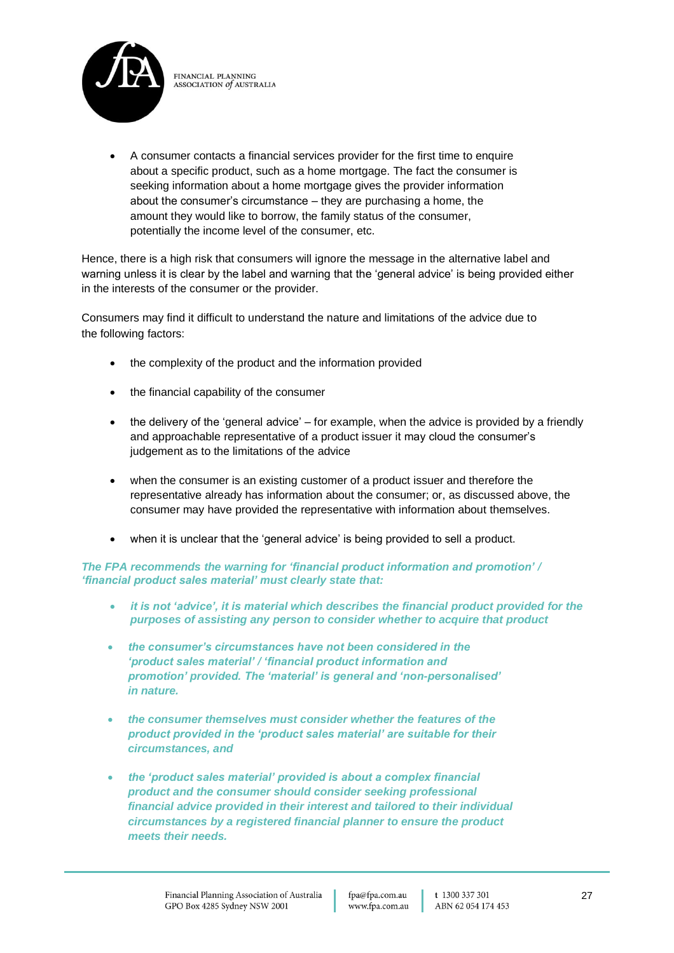

• A consumer contacts a financial services provider for the first time to enquire about a specific product, such as a home mortgage. The fact the consumer is seeking information about a home mortgage gives the provider information about the consumer's circumstance – they are purchasing a home, the amount they would like to borrow, the family status of the consumer, potentially the income level of the consumer, etc.

Hence, there is a high risk that consumers will ignore the message in the alternative label and warning unless it is clear by the label and warning that the 'general advice' is being provided either in the interests of the consumer or the provider.

Consumers may find it difficult to understand the nature and limitations of the advice due to the following factors:

- the complexity of the product and the information provided
- the financial capability of the consumer
- the delivery of the 'general advice' for example, when the advice is provided by a friendly and approachable representative of a product issuer it may cloud the consumer's judgement as to the limitations of the advice
- when the consumer is an existing customer of a product issuer and therefore the representative already has information about the consumer; or, as discussed above, the consumer may have provided the representative with information about themselves.
- when it is unclear that the 'general advice' is being provided to sell a product.

### *The FPA recommends the warning for 'financial product information and promotion' / 'financial product sales material' must clearly state that:*

- *it is not 'advice', it is material which describes the financial product provided for the purposes of assisting any person to consider whether to acquire that product*
- *the consumer's circumstances have not been considered in the 'product sales material' / 'financial product information and promotion' provided. The 'material' is general and 'non-personalised' in nature.*
- *the consumer themselves must consider whether the features of the product provided in the 'product sales material' are suitable for their circumstances, and*
- *the 'product sales material' provided is about a complex financial product and the consumer should consider seeking professional financial advice provided in their interest and tailored to their individual circumstances by a registered financial planner to ensure the product meets their needs.*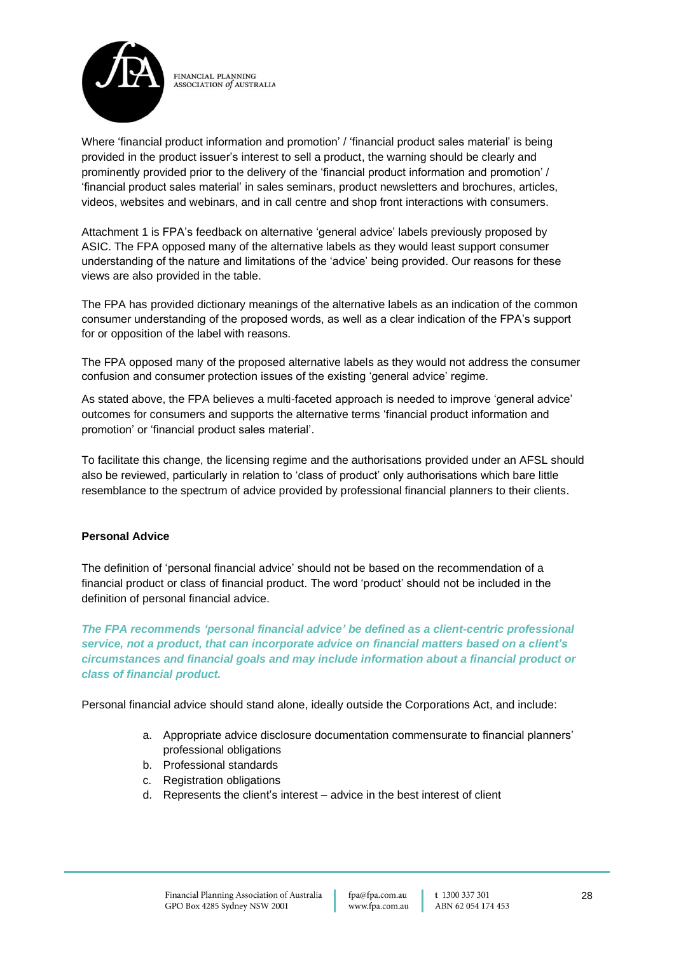

Where 'financial product information and promotion' / 'financial product sales material' is being provided in the product issuer's interest to sell a product, the warning should be clearly and prominently provided prior to the delivery of the 'financial product information and promotion' / 'financial product sales material' in sales seminars, product newsletters and brochures, articles, videos, websites and webinars, and in call centre and shop front interactions with consumers.

Attachment 1 is FPA's feedback on alternative 'general advice' labels previously proposed by ASIC. The FPA opposed many of the alternative labels as they would least support consumer understanding of the nature and limitations of the 'advice' being provided. Our reasons for these views are also provided in the table.

The FPA has provided dictionary meanings of the alternative labels as an indication of the common consumer understanding of the proposed words, as well as a clear indication of the FPA's support for or opposition of the label with reasons.

The FPA opposed many of the proposed alternative labels as they would not address the consumer confusion and consumer protection issues of the existing 'general advice' regime.

As stated above, the FPA believes a multi-faceted approach is needed to improve 'general advice' outcomes for consumers and supports the alternative terms 'financial product information and promotion' or 'financial product sales material'.

To facilitate this change, the licensing regime and the authorisations provided under an AFSL should also be reviewed, particularly in relation to 'class of product' only authorisations which bare little resemblance to the spectrum of advice provided by professional financial planners to their clients.

## **Personal Advice**

The definition of 'personal financial advice' should not be based on the recommendation of a financial product or class of financial product. The word 'product' should not be included in the definition of personal financial advice.

*The FPA recommends 'personal financial advice' be defined as a client-centric professional service, not a product, that can incorporate advice on financial matters based on a client's circumstances and financial goals and may include information about a financial product or class of financial product.* 

Personal financial advice should stand alone, ideally outside the Corporations Act, and include:

- a. Appropriate advice disclosure documentation commensurate to financial planners' professional obligations
- b. Professional standards
- c. Registration obligations
- d. Represents the client's interest advice in the best interest of client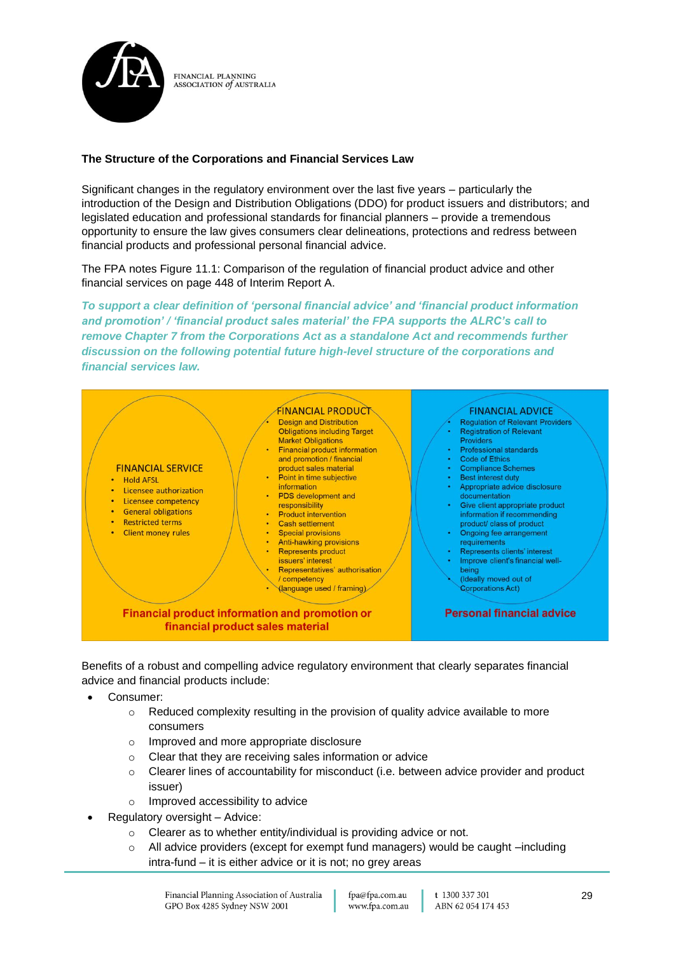

### **The Structure of the Corporations and Financial Services Law**

Significant changes in the regulatory environment over the last five years – particularly the introduction of the Design and Distribution Obligations (DDO) for product issuers and distributors; and legislated education and professional standards for financial planners – provide a tremendous opportunity to ensure the law gives consumers clear delineations, protections and redress between financial products and professional personal financial advice.

The FPA notes Figure 11.1: Comparison of the regulation of financial product advice and other financial services on page 448 of Interim Report A.

*To support a clear definition of 'personal financial advice' and 'financial product information and promotion' / 'financial product sales material' the FPA supports the ALRC's call to remove Chapter 7 from the Corporations Act as a standalone Act and recommends further discussion on the following potential future high-level structure of the corporations and financial services law.*



Benefits of a robust and compelling advice regulatory environment that clearly separates financial advice and financial products include:

- Consumer:
	- $\circ$  Reduced complexity resulting in the provision of quality advice available to more consumers
	- o Improved and more appropriate disclosure
	- o Clear that they are receiving sales information or advice
	- $\circ$  Clearer lines of accountability for misconduct (i.e. between advice provider and product issuer)
	- o Improved accessibility to advice
- Regulatory oversight Advice:
	- o Clearer as to whether entity/individual is providing advice or not.
	- o All advice providers (except for exempt fund managers) would be caught –including intra-fund – it is either advice or it is not; no grey areas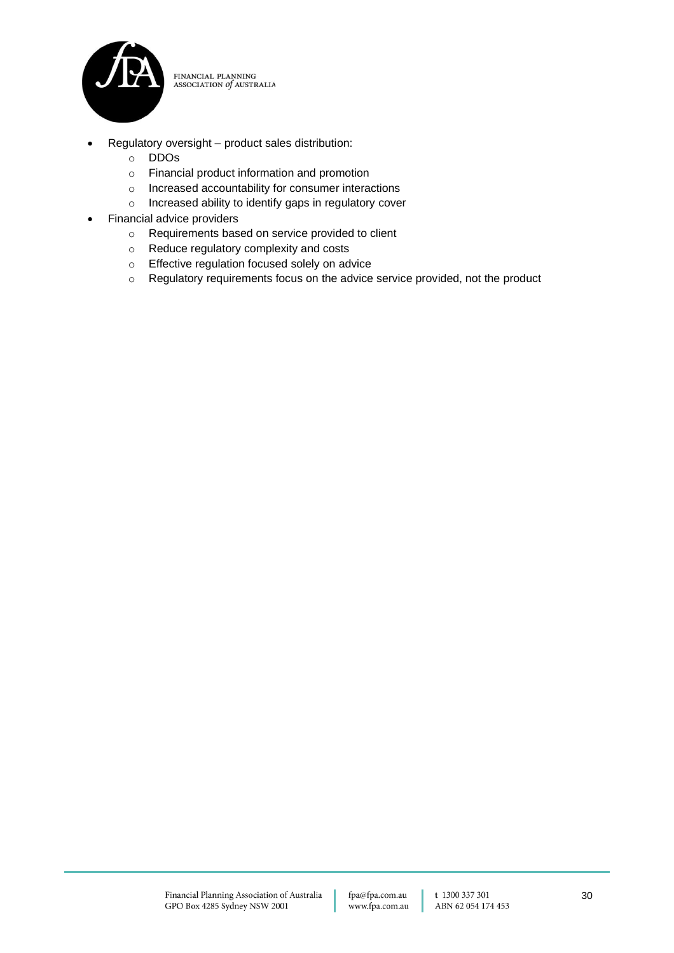

- Regulatory oversight product sales distribution:
	- o DDOs
	- o Financial product information and promotion
	- o Increased accountability for consumer interactions
	- o Increased ability to identify gaps in regulatory cover
- Financial advice providers
	- o Requirements based on service provided to client
	- o Reduce regulatory complexity and costs
	- o Effective regulation focused solely on advice
	- o Regulatory requirements focus on the advice service provided, not the product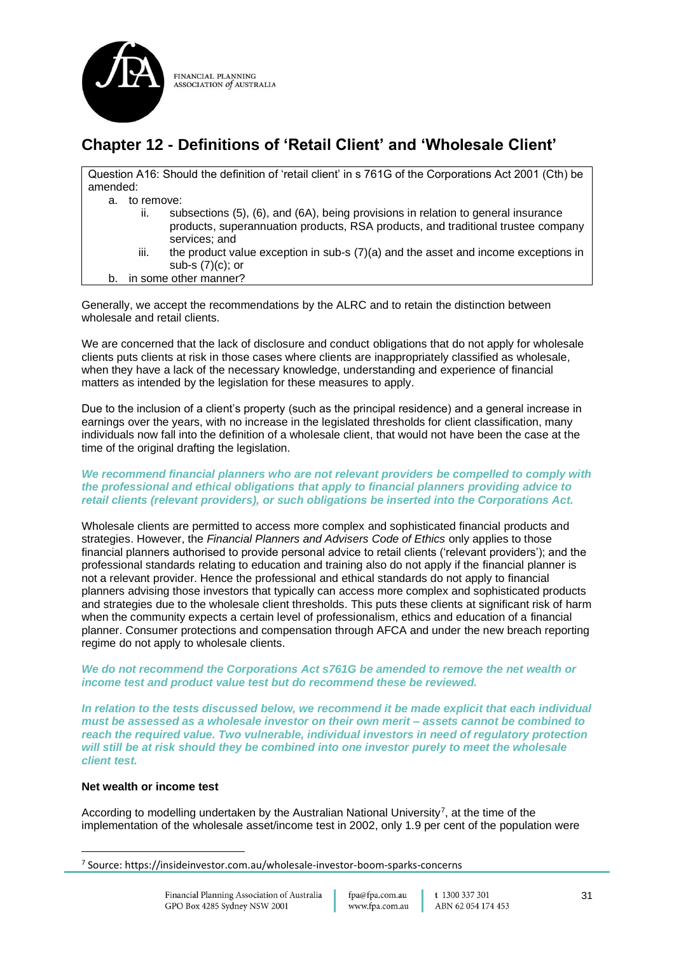

## **Chapter 12 - Definitions of 'Retail Client' and 'Wholesale Client'**

| Question A16: Should the definition of 'retail client' in s 761G of the Corporations Act 2001 (Cth) be<br>amended:                                                                            |
|-----------------------------------------------------------------------------------------------------------------------------------------------------------------------------------------------|
|                                                                                                                                                                                               |
| to remove:<br>а.                                                                                                                                                                              |
| subsections (5), (6), and (6A), being provisions in relation to general insurance<br>ii.<br>products, superannuation products, RSA products, and traditional trustee company<br>services; and |
| iii.<br>the product value exception in sub-s $(7)(a)$ and the asset and income exceptions in<br>sub-s $(7)(c)$ ; or                                                                           |
| in some other manner?<br>b.                                                                                                                                                                   |

Generally, we accept the recommendations by the ALRC and to retain the distinction between wholesale and retail clients.

We are concerned that the lack of disclosure and conduct obligations that do not apply for wholesale clients puts clients at risk in those cases where clients are inappropriately classified as wholesale, when they have a lack of the necessary knowledge, understanding and experience of financial matters as intended by the legislation for these measures to apply.

Due to the inclusion of a client's property (such as the principal residence) and a general increase in earnings over the years, with no increase in the legislated thresholds for client classification, many individuals now fall into the definition of a wholesale client, that would not have been the case at the time of the original drafting the legislation.

#### *We recommend financial planners who are not relevant providers be compelled to comply with the professional and ethical obligations that apply to financial planners providing advice to retail clients (relevant providers), or such obligations be inserted into the Corporations Act.*

Wholesale clients are permitted to access more complex and sophisticated financial products and strategies. However, the *Financial Planners and Advisers Code of Ethics* only applies to those financial planners authorised to provide personal advice to retail clients ('relevant providers'); and the professional standards relating to education and training also do not apply if the financial planner is not a relevant provider. Hence the professional and ethical standards do not apply to financial planners advising those investors that typically can access more complex and sophisticated products and strategies due to the wholesale client thresholds. This puts these clients at significant risk of harm when the community expects a certain level of professionalism, ethics and education of a financial planner. Consumer protections and compensation through AFCA and under the new breach reporting regime do not apply to wholesale clients.

#### *We do not recommend the Corporations Act s761G be amended to remove the net wealth or income test and product value test but do recommend these be reviewed.*

*In relation to the tests discussed below, we recommend it be made explicit that each individual must be assessed as a wholesale investor on their own merit – assets cannot be combined to reach the required value. Two vulnerable, individual investors in need of regulatory protection will still be at risk should they be combined into one investor purely to meet the wholesale client test.*

## **Net wealth or income test**

According to modelling undertaken by the Australian National University<sup>7</sup>, at the time of the implementation of the wholesale asset/income test in 2002, only 1.9 per cent of the population were

<sup>7</sup> Source: https://insideinvestor.com.au/wholesale-investor-boom-sparks-concerns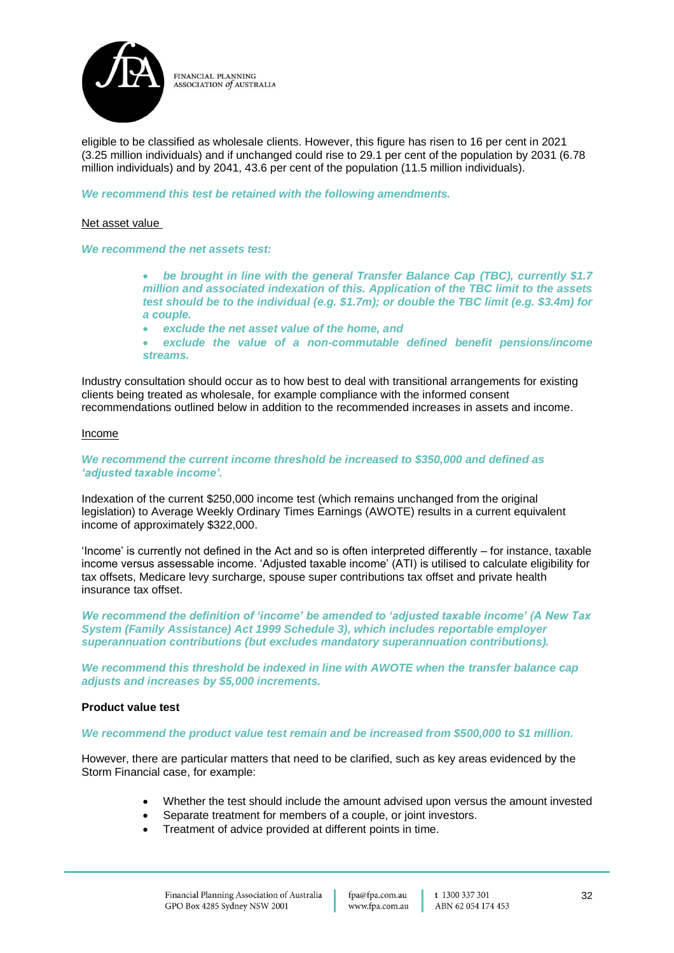

eligible to be classified as wholesale clients. However, this figure has risen to 16 per cent in 2021 (3.25 million individuals) and if unchanged could rise to 29.1 per cent of the population by 2031 (6.78 million individuals) and by 2041, 43.6 per cent of the population (11.5 million individuals).

*We recommend this test be retained with the following amendments.*

#### Net asset value

*We recommend the net assets test:*

• *be brought in line with the general Transfer Balance Cap (TBC), currently \$1.7 million and associated indexation of this. Application of the TBC limit to the assets test should be to the individual (e.g. \$1.7m); or double the TBC limit (e.g. \$3.4m) for a couple.*

- *exclude the net asset value of the home, and*
- *exclude the value of a non-commutable defined benefit pensions/income streams.*

Industry consultation should occur as to how best to deal with transitional arrangements for existing clients being treated as wholesale, for example compliance with the informed consent recommendations outlined below in addition to the recommended increases in assets and income.

#### Income

#### *We recommend the current income threshold be increased to \$350,000 and defined as 'adjusted taxable income'.*

Indexation of the current \$250,000 income test (which remains unchanged from the original legislation) to Average Weekly Ordinary Times Earnings (AWOTE) results in a current equivalent income of approximately \$322,000.

'Income' is currently not defined in the Act and so is often interpreted differently – for instance, taxable income versus assessable income. 'Adjusted taxable income' (ATI) is utilised to calculate eligibility for tax offsets. Medicare levy surcharge, spouse super contributions tax offset and private health insurance tax offset.

*We recommend the definition of 'income' be amended to 'adjusted taxable income' (A New Tax System (Family Assistance) Act 1999 Schedule 3), which includes reportable employer superannuation contributions (but excludes mandatory superannuation contributions).*

*We recommend this threshold be indexed in line with AWOTE when the transfer balance cap adjusts and increases by \$5,000 increments.*

#### **Product value test**

#### *We recommend the product value test remain and be increased from \$500,000 to \$1 million.*

However, there are particular matters that need to be clarified, such as key areas evidenced by the Storm Financial case, for example:

- Whether the test should include the amount advised upon versus the amount invested
- Separate treatment for members of a couple, or joint investors.
- Treatment of advice provided at different points in time.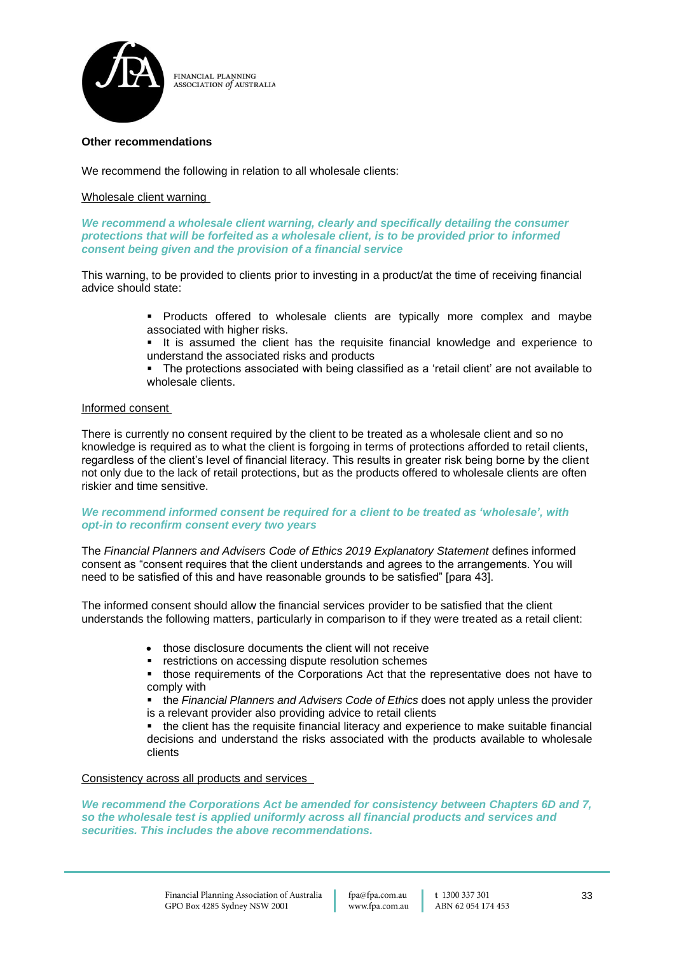

#### **Other recommendations**

We recommend the following in relation to all wholesale clients:

#### Wholesale client warning

*We recommend a wholesale client warning, clearly and specifically detailing the consumer protections that will be forfeited as a wholesale client, is to be provided prior to informed consent being given and the provision of a financial service*

This warning, to be provided to clients prior to investing in a product/at the time of receiving financial advice should state:

- Products offered to wholesale clients are typically more complex and maybe associated with higher risks.
- It is assumed the client has the requisite financial knowledge and experience to understand the associated risks and products

The protections associated with being classified as a 'retail client' are not available to wholesale clients.

#### Informed consent

There is currently no consent required by the client to be treated as a wholesale client and so no knowledge is required as to what the client is forgoing in terms of protections afforded to retail clients, regardless of the client's level of financial literacy. This results in greater risk being borne by the client not only due to the lack of retail protections, but as the products offered to wholesale clients are often riskier and time sensitive.

#### *We recommend informed consent be required for a client to be treated as 'wholesale', with opt-in to reconfirm consent every two years*

The Financial Planners and Advisers Code of Ethics 2019 Explanatory Statement defines informed consent as "consent requires that the client understands and agrees to the arrangements. You will need to be satisfied of this and have reasonable grounds to be satisfied" [para 43].

The informed consent should allow the financial services provider to be satisfied that the client understands the following matters, particularly in comparison to if they were treated as a retail client:

- those disclosure documents the client will not receive
- restrictions on accessing dispute resolution schemes
- those requirements of the Corporations Act that the representative does not have to comply with
- the *Financial Planners and Advisers Code of Ethics* does not apply unless the provider is a relevant provider also providing advice to retail clients
- the client has the requisite financial literacy and experience to make suitable financial decisions and understand the risks associated with the products available to wholesale clients

#### Consistency across all products and services

*We recommend the Corporations Act be amended for consistency between Chapters 6D and 7, so the wholesale test is applied uniformly across all financial products and services and securities. This includes the above recommendations.*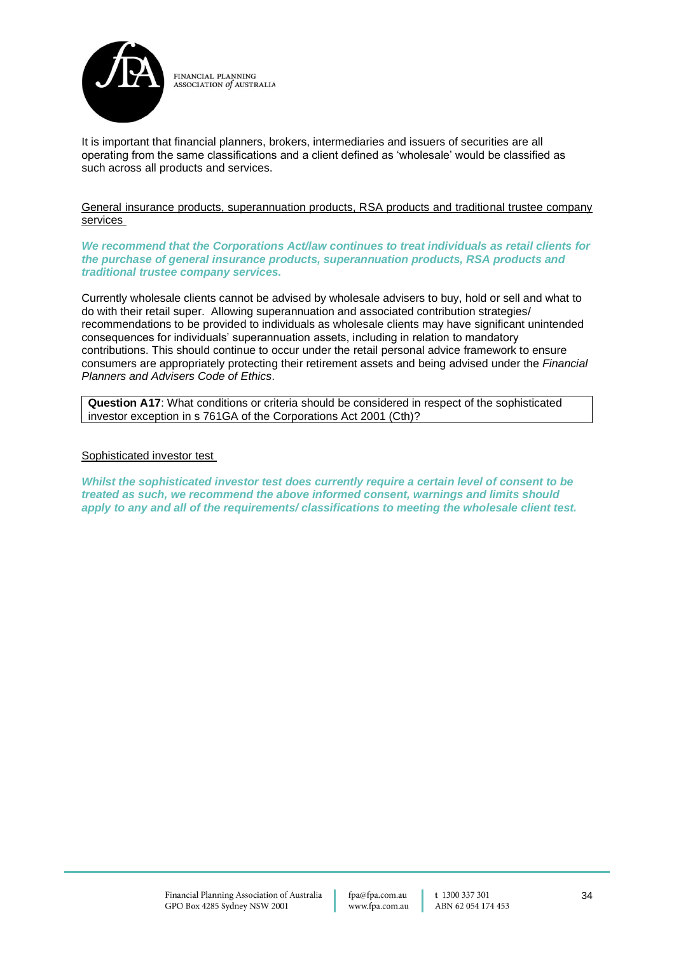

It is important that financial planners, brokers, intermediaries and issuers of securities are all operating from the same classifications and a client defined as 'wholesale' would be classified as such across all products and services.

General insurance products, superannuation products, RSA products and traditional trustee company services

*We recommend that the Corporations Act/law continues to treat individuals as retail clients for the purchase of general insurance products, superannuation products, RSA products and traditional trustee company services.*

Currently wholesale clients cannot be advised by wholesale advisers to buy, hold or sell and what to do with their retail super. Allowing superannuation and associated contribution strategies/ recommendations to be provided to individuals as wholesale clients may have significant unintended consequences for individuals' superannuation assets, including in relation to mandatory contributions. This should continue to occur under the retail personal advice framework to ensure consumers are appropriately protecting their retirement assets and being advised under the *Financial Planners and Advisers Code of Ethics*.

**Question A17**: What conditions or criteria should be considered in respect of the sophisticated investor exception in s 761GA of the Corporations Act 2001 (Cth)?

#### Sophisticated investor test

*Whilst the sophisticated investor test does currently require a certain level of consent to be treated as such, we recommend the above informed consent, warnings and limits should apply to any and all of the requirements/ classifications to meeting the wholesale client test.*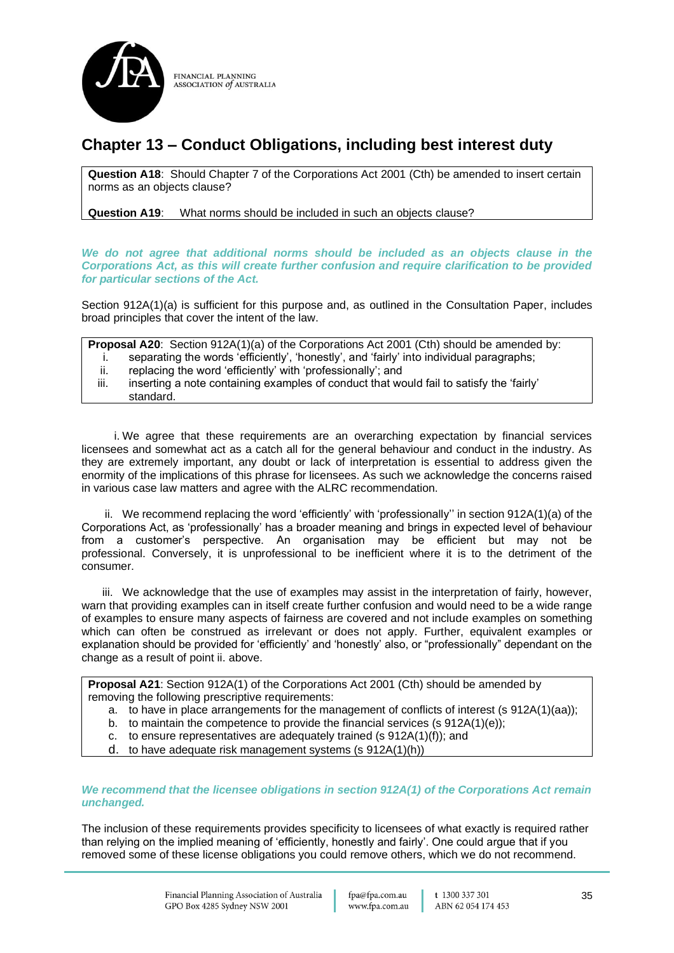

## **Chapter 13 – Conduct Obligations, including best interest duty**

**Question A18**: Should Chapter 7 of the Corporations Act 2001 (Cth) be amended to insert certain norms as an objects clause?

**Question A19**: What norms should be included in such an objects clause?

*We do not agree that additional norms should be included as an objects clause in the Corporations Act, as this will create further confusion and require clarification to be provided for particular sections of the Act.*

Section 912A(1)(a) is sufficient for this purpose and, as outlined in the Consultation Paper, includes broad principles that cover the intent of the law.

**Proposal A20:** Section 912A(1)(a) of the Corporations Act 2001 (Cth) should be amended by: i. separating the words 'efficiently', 'honestly', and 'fairly' into individual paragraphs;

ii. replacing the word 'efficiently' with 'professionally'; and

iii. inserting a note containing examples of conduct that would fail to satisfy the 'fairly' standard.

i. We agree that these requirements are an overarching expectation by financial services licensees and somewhat act as a catch all for the general behaviour and conduct in the industry. As they are extremely important, any doubt or lack of interpretation is essential to address given the enormity of the implications of this phrase for licensees. As such we acknowledge the concerns raised in various case law matters and agree with the ALRC recommendation.

ii. We recommend replacing the word 'efficiently' with 'professionally'' in section 912A(1)(a) of the Corporations Act, as 'professionally' has a broader meaning and brings in expected level of behaviour from a customer's perspective. An organisation may be efficient but may not be professional. Conversely, it is unprofessional to be inefficient where it is to the detriment of the consumer.

iii. We acknowledge that the use of examples may assist in the interpretation of fairly, however, warn that providing examples can in itself create further confusion and would need to be a wide range of examples to ensure many aspects of fairness are covered and not include examples on something which can often be construed as irrelevant or does not apply. Further, equivalent examples or explanation should be provided for 'efficiently' and 'honestly' also, or "professionally" dependant on the change as a result of point ii. above.

**Proposal A21:** Section 912A(1) of the Corporations Act 2001 (Cth) should be amended by removing the following prescriptive requirements:

- a. to have in place arrangements for the management of conflicts of interest (s 912A(1)(aa));
- b. to maintain the competence to provide the financial services (s 912A(1)(e));
- c. to ensure representatives are adequately trained (s 912A(1)(f)); and
- d. to have adequate risk management systems (s 912A(1)(h))

#### *We recommend that the licensee obligations in section 912A(1) of the Corporations Act remain unchanged.*

The inclusion of these requirements provides specificity to licensees of what exactly is required rather than relying on the implied meaning of 'efficiently, honestly and fairly'. One could argue that if you removed some of these license obligations you could remove others, which we do not recommend.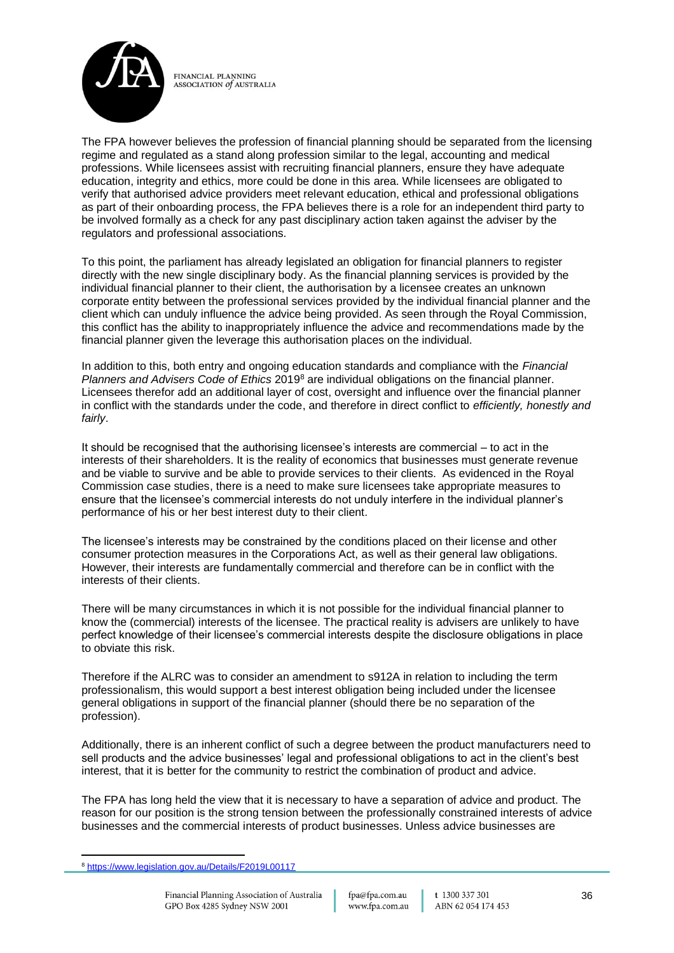

The FPA however believes the profession of financial planning should be separated from the licensing regime and regulated as a stand along profession similar to the legal, accounting and medical professions. While licensees assist with recruiting financial planners, ensure they have adequate education, integrity and ethics, more could be done in this area. While licensees are obligated to verify that authorised advice providers meet relevant education, ethical and professional obligations as part of their onboarding process, the FPA believes there is a role for an independent third party to be involved formally as a check for any past disciplinary action taken against the adviser by the regulators and professional associations.

To this point, the parliament has already legislated an obligation for financial planners to register directly with the new single disciplinary body. As the financial planning services is provided by the individual financial planner to their client, the authorisation by a licensee creates an unknown corporate entity between the professional services provided by the individual financial planner and the client which can unduly influence the advice being provided. As seen through the Royal Commission, this conflict has the ability to inappropriately influence the advice and recommendations made by the financial planner given the leverage this authorisation places on the individual.

In addition to this, both entry and ongoing education standards and compliance with the *Financial Planners and Advisers Code of Ethics* 2019<sup>8</sup> are individual obligations on the financial planner. Licensees therefor add an additional layer of cost, oversight and influence over the financial planner in conflict with the standards under the code, and therefore in direct conflict to *efficiently, honestly and fairly*.

It should be recognised that the authorising licensee's interests are commercial – to act in the interests of their shareholders. It is the reality of economics that businesses must generate revenue and be viable to survive and be able to provide services to their clients. As evidenced in the Royal Commission case studies, there is a need to make sure licensees take appropriate measures to ensure that the licensee's commercial interests do not unduly interfere in the individual planner's performance of his or her best interest duty to their client.

The licensee's interests may be constrained by the conditions placed on their license and other consumer protection measures in the Corporations Act, as well as their general law obligations. However, their interests are fundamentally commercial and therefore can be in conflict with the interests of their clients.

There will be many circumstances in which it is not possible for the individual financial planner to know the (commercial) interests of the licensee. The practical reality is advisers are unlikely to have perfect knowledge of their licensee's commercial interests despite the disclosure obligations in place to obviate this risk.

Therefore if the ALRC was to consider an amendment to s912A in relation to including the term professionalism, this would support a best interest obligation being included under the licensee general obligations in support of the financial planner (should there be no separation of the profession).

Additionally, there is an inherent conflict of such a degree between the product manufacturers need to sell products and the advice businesses' legal and professional obligations to act in the client's best interest, that it is better for the community to restrict the combination of product and advice.

The FPA has long held the view that it is necessary to have a separation of advice and product. The reason for our position is the strong tension between the professionally constrained interests of advice businesses and the commercial interests of product businesses. Unless advice businesses are

<sup>8</sup> <https://www.legislation.gov.au/Details/F2019L00117>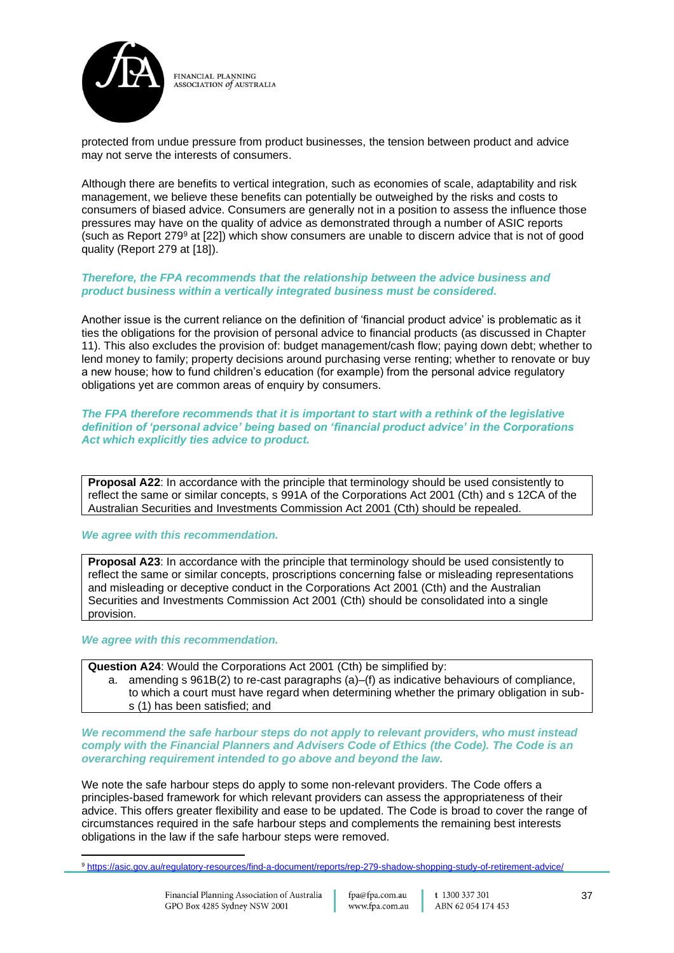

protected from undue pressure from product businesses, the tension between product and advice may not serve the interests of consumers.

Although there are benefits to vertical integration, such as economies of scale, adaptability and risk management, we believe these benefits can potentially be outweighed by the risks and costs to consumers of biased advice. Consumers are generally not in a position to assess the influence those pressures may have on the quality of advice as demonstrated through a number of ASIC reports (such as Report  $279^{\circ}$  at  $[22]$ ) which show consumers are unable to discern advice that is not of good quality (Report 279 at [18]).

#### *Therefore, the FPA recommends that the relationship between the advice business and product business within a vertically integrated business must be considered.*

Another issue is the current reliance on the definition of 'financial product advice' is problematic as it ties the obligations for the provision of personal advice to financial products (as discussed in Chapter 11). This also excludes the provision of: budget management/cash flow; paying down debt; whether to lend money to family; property decisions around purchasing verse renting; whether to renovate or buy a new house; how to fund children's education (for example) from the personal advice regulatory obligations yet are common areas of enquiry by consumers.

#### *The FPA therefore recommends that it is important to start with a rethink of the legislative definition of 'personal advice' being based on 'financial product advice' in the Corporations Act which explicitly ties advice to product.*

**Proposal A22**: In accordance with the principle that terminology should be used consistently to reflect the same or similar concepts, s 991A of the Corporations Act 2001 (Cth) and s 12CA of the Australian Securities and Investments Commission Act 2001 (Cth) should be repealed.

#### *We agree with this recommendation.*

**Proposal A23**: In accordance with the principle that terminology should be used consistently to reflect the same or similar concepts, proscriptions concerning false or misleading representations and misleading or deceptive conduct in the Corporations Act 2001 (Cth) and the Australian Securities and Investments Commission Act 2001 (Cth) should be consolidated into a single provision.

#### *We agree with this recommendation.*

**Question A24**: Would the Corporations Act 2001 (Cth) be simplified by:

a. amending s 961B(2) to re-cast paragraphs (a)–(f) as indicative behaviours of compliance, to which a court must have regard when determining whether the primary obligation in subs (1) has been satisfied; and

*We recommend the safe harbour steps do not apply to relevant providers, who must instead comply with the Financial Planners and Advisers Code of Ethics (the Code). The Code is an overarching requirement intended to go above and beyond the law.*

We note the safe harbour steps do apply to some non-relevant providers. The Code offers a principles-based framework for which relevant providers can assess the appropriateness of their advice. This offers greater flexibility and ease to be updated. The Code is broad to cover the range of circumstances required in the safe harbour steps and complements the remaining best interests obligations in the law if the safe harbour steps were removed.

<sup>9</sup> <https://asic.gov.au/regulatory-resources/find-a-document/reports/rep-279-shadow-shopping-study-of-retirement-advice/>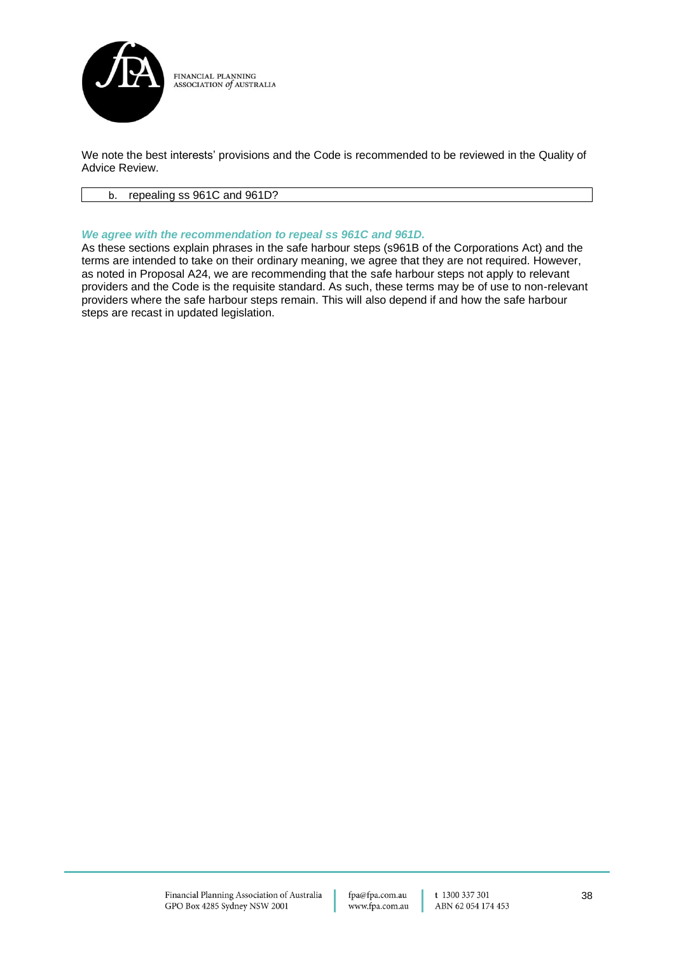

We note the best interests' provisions and the Code is recommended to be reviewed in the Quality of Advice Review.

#### b. repealing ss 961C and 961D?

#### *We agree with the recommendation to repeal ss 961C and 961D.*

As these sections explain phrases in the safe harbour steps (s961B of the Corporations Act) and the terms are intended to take on their ordinary meaning, we agree that they are not required. However, as noted in Proposal A24, we are recommending that the safe harbour steps not apply to relevant providers and the Code is the requisite standard. As such, these terms may be of use to non-relevant providers where the safe harbour steps remain. This will also depend if and how the safe harbour steps are recast in updated legislation.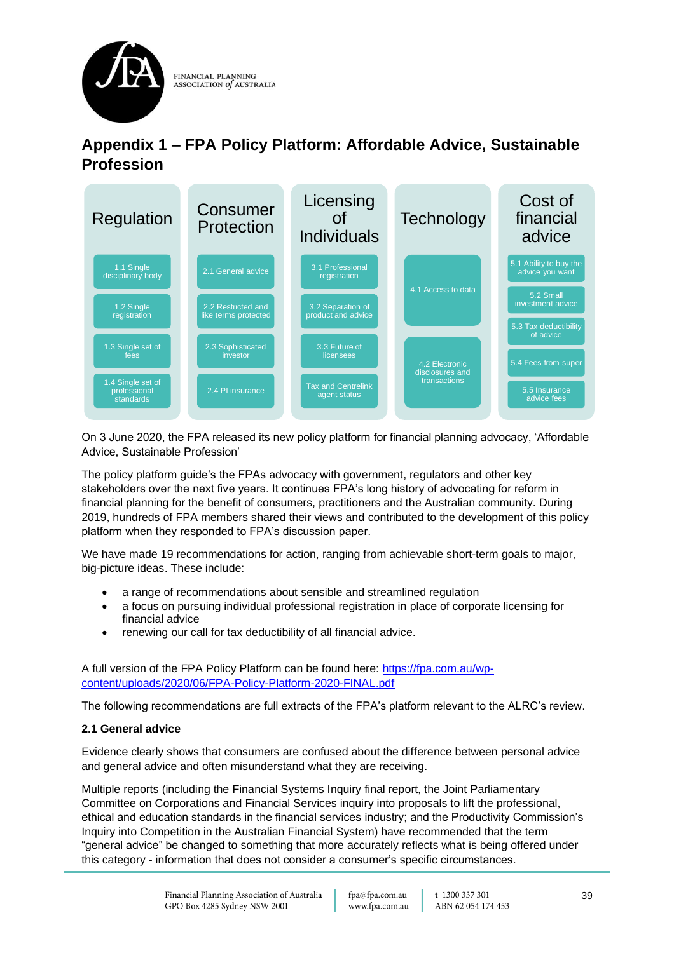

## **Appendix 1 – FPA Policy Platform: Affordable Advice, Sustainable Profession**



On 3 June 2020, the FPA released its new policy platform for financial planning advocacy, 'Affordable Advice, Sustainable Profession'

The policy platform guide's the FPAs advocacy with government, regulators and other key stakeholders over the next five years. It continues FPA's long history of advocating for reform in financial planning for the benefit of consumers, practitioners and the Australian community. During 2019, hundreds of FPA members shared their views and contributed to the development of this policy platform when they responded to FPA's discussion paper.

We have made 19 recommendations for action, ranging from achievable short-term goals to major, big-picture ideas. These include:

- a range of recommendations about sensible and streamlined regulation
- a focus on pursuing individual professional registration in place of corporate licensing for financial advice
- renewing our call for tax deductibility of all financial advice.

A full version of the FPA Policy Platform can be found here: [https://fpa.com.au/wp](https://fpa.com.au/wp-content/uploads/2020/06/FPA-Policy-Platform-2020-FINAL.pdf)[content/uploads/2020/06/FPA-Policy-Platform-2020-FINAL.pdf](https://fpa.com.au/wp-content/uploads/2020/06/FPA-Policy-Platform-2020-FINAL.pdf)

The following recommendations are full extracts of the FPA's platform relevant to the ALRC's review.

## **2.1 General advice**

Evidence clearly shows that consumers are confused about the difference between personal advice and general advice and often misunderstand what they are receiving.

Multiple reports (including the Financial Systems Inquiry final report, the Joint Parliamentary Committee on Corporations and Financial Services inquiry into proposals to lift the professional, ethical and education standards in the financial services industry; and the Productivity Commission's Inquiry into Competition in the Australian Financial System) have recommended that the term "general advice" be changed to something that more accurately reflects what is being offered under this category - information that does not consider a consumer's specific circumstances.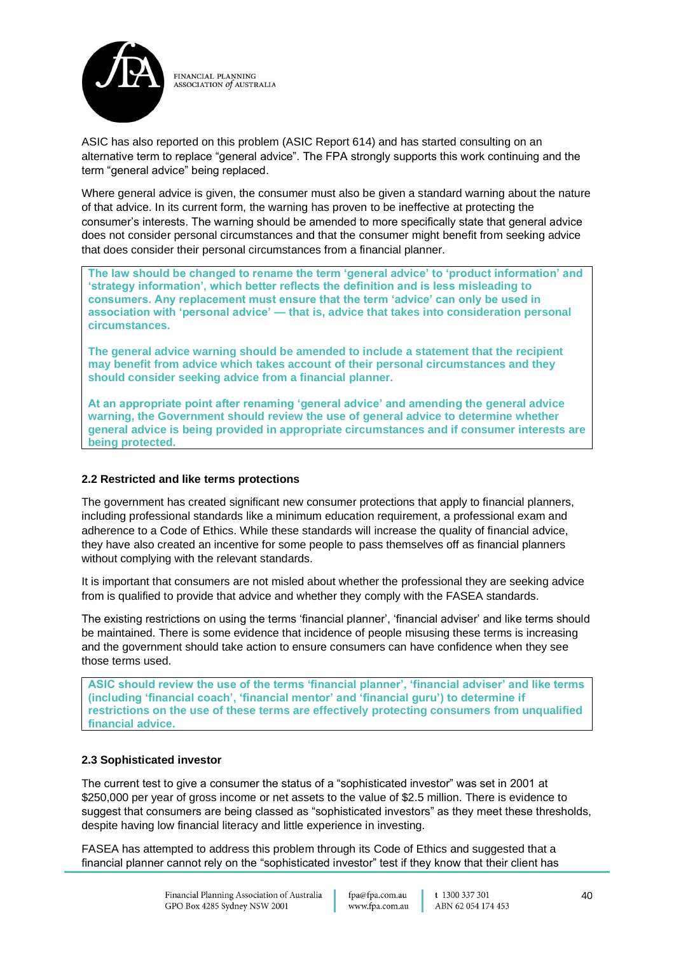

ASIC has also reported on this problem (ASIC Report 614) and has started consulting on an alternative term to replace "general advice". The FPA strongly supports this work continuing and the term "general advice" being replaced.

Where general advice is given, the consumer must also be given a standard warning about the nature of that advice. In its current form, the warning has proven to be ineffective at protecting the consumer's interests. The warning should be amended to more specifically state that general advice does not consider personal circumstances and that the consumer might benefit from seeking advice that does consider their personal circumstances from a financial planner.

**The law should be changed to rename the term 'general advice' to 'product information' and 'strategy information', which better reflects the definition and is less misleading to consumers. Any replacement must ensure that the term 'advice' can only be used in association with 'personal advice' — that is, advice that takes into consideration personal circumstances.**

**The general advice warning should be amended to include a statement that the recipient may benefit from advice which takes account of their personal circumstances and they should consider seeking advice from a financial planner.**

**At an appropriate point after renaming 'general advice' and amending the general advice warning, the Government should review the use of general advice to determine whether general advice is being provided in appropriate circumstances and if consumer interests are being protected.**

#### **2.2 Restricted and like terms protections**

The government has created significant new consumer protections that apply to financial planners, including professional standards like a minimum education requirement, a professional exam and adherence to a Code of Ethics. While these standards will increase the quality of financial advice, they have also created an incentive for some people to pass themselves off as financial planners without complying with the relevant standards.

It is important that consumers are not misled about whether the professional they are seeking advice from is qualified to provide that advice and whether they comply with the FASEA standards.

The existing restrictions on using the terms 'financial planner', 'financial adviser' and like terms should be maintained. There is some evidence that incidence of people misusing these terms is increasing and the government should take action to ensure consumers can have confidence when they see those terms used.

**ASIC should review the use of the terms 'financial planner', 'financial adviser' and like terms (including 'financial coach', 'financial mentor' and 'financial guru') to determine if restrictions on the use of these terms are effectively protecting consumers from unqualified financial advice.**

#### **2.3 Sophisticated investor**

The current test to give a consumer the status of a "sophisticated investor" was set in 2001 at \$250,000 per year of gross income or net assets to the value of \$2.5 million. There is evidence to suggest that consumers are being classed as "sophisticated investors" as they meet these thresholds, despite having low financial literacy and little experience in investing.

FASEA has attempted to address this problem through its Code of Ethics and suggested that a financial planner cannot rely on the "sophisticated investor" test if they know that their client has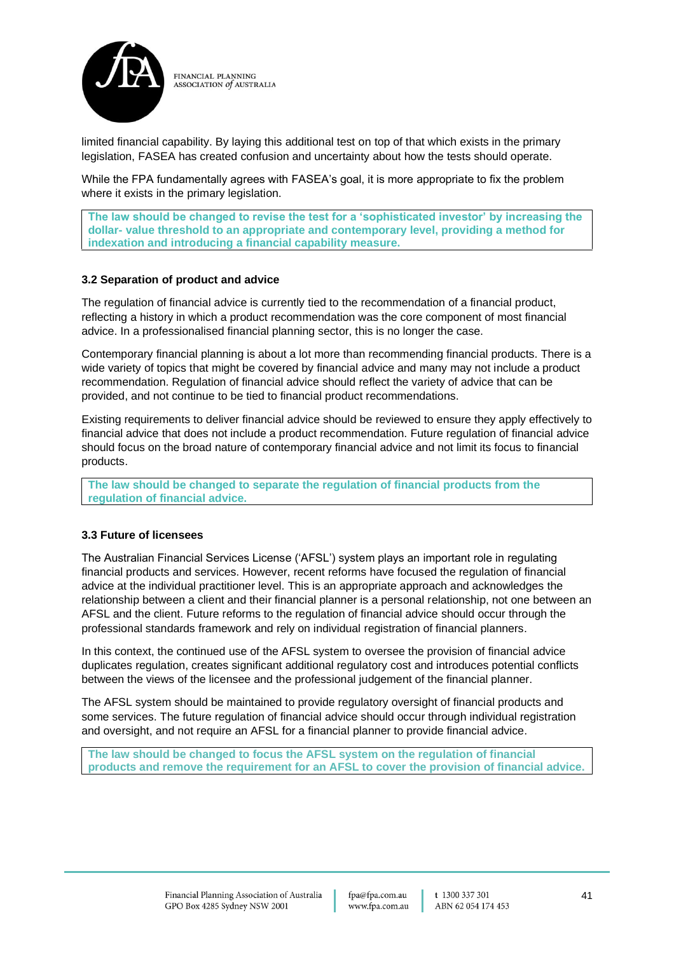

limited financial capability. By laying this additional test on top of that which exists in the primary legislation, FASEA has created confusion and uncertainty about how the tests should operate.

While the FPA fundamentally agrees with FASEA's goal, it is more appropriate to fix the problem where it exists in the primary legislation.

**The law should be changed to revise the test for a 'sophisticated investor' by increasing the dollar- value threshold to an appropriate and contemporary level, providing a method for indexation and introducing a financial capability measure.**

### **3.2 Separation of product and advice**

The regulation of financial advice is currently tied to the recommendation of a financial product, reflecting a history in which a product recommendation was the core component of most financial advice. In a professionalised financial planning sector, this is no longer the case.

Contemporary financial planning is about a lot more than recommending financial products. There is a wide variety of topics that might be covered by financial advice and many may not include a product recommendation. Regulation of financial advice should reflect the variety of advice that can be provided, and not continue to be tied to financial product recommendations.

Existing requirements to deliver financial advice should be reviewed to ensure they apply effectively to financial advice that does not include a product recommendation. Future regulation of financial advice should focus on the broad nature of contemporary financial advice and not limit its focus to financial products.

**The law should be changed to separate the regulation of financial products from the regulation of financial advice.**

#### **3.3 Future of licensees**

The Australian Financial Services License ('AFSL') system plays an important role in regulating financial products and services. However, recent reforms have focused the regulation of financial advice at the individual practitioner level. This is an appropriate approach and acknowledges the relationship between a client and their financial planner is a personal relationship, not one between an AFSL and the client. Future reforms to the regulation of financial advice should occur through the professional standards framework and rely on individual registration of financial planners.

In this context, the continued use of the AFSL system to oversee the provision of financial advice duplicates regulation, creates significant additional regulatory cost and introduces potential conflicts between the views of the licensee and the professional judgement of the financial planner.

The AFSL system should be maintained to provide regulatory oversight of financial products and some services. The future regulation of financial advice should occur through individual registration and oversight, and not require an AFSL for a financial planner to provide financial advice.

**The law should be changed to focus the AFSL system on the regulation of financial products and remove the requirement for an AFSL to cover the provision of financial advice.**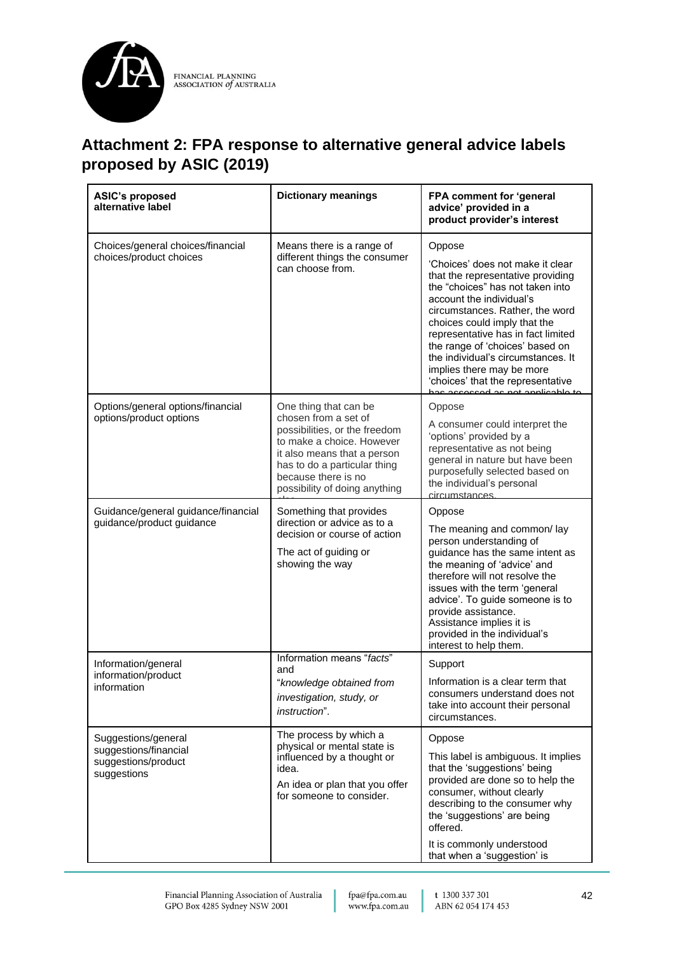

## **Attachment 2: FPA response to alternative general advice labels proposed by ASIC (2019)**

| <b>ASIC's proposed</b><br>alternative label                                        | <b>Dictionary meanings</b>                                                                                                                                                                                                         | FPA comment for 'general<br>advice' provided in a<br>product provider's interest                                                                                                                                                                                                                                                                                                                    |
|------------------------------------------------------------------------------------|------------------------------------------------------------------------------------------------------------------------------------------------------------------------------------------------------------------------------------|-----------------------------------------------------------------------------------------------------------------------------------------------------------------------------------------------------------------------------------------------------------------------------------------------------------------------------------------------------------------------------------------------------|
| Choices/general choices/financial<br>choices/product choices                       | Means there is a range of<br>different things the consumer<br>can choose from.                                                                                                                                                     | Oppose<br>'Choices' does not make it clear<br>that the representative providing<br>the "choices" has not taken into<br>account the individual's<br>circumstances. Rather, the word<br>choices could imply that the<br>representative has in fact limited<br>the range of 'choices' based on<br>the individual's circumstances. It<br>implies there may be more<br>'choices' that the representative |
| Options/general options/financial<br>options/product options                       | One thing that can be<br>chosen from a set of<br>possibilities, or the freedom<br>to make a choice. However<br>it also means that a person<br>has to do a particular thing<br>because there is no<br>possibility of doing anything | Oppose<br>A consumer could interpret the<br>'options' provided by a<br>representative as not being<br>general in nature but have been<br>purposefully selected based on<br>the individual's personal<br>circumstances                                                                                                                                                                               |
| Guidance/general guidance/financial<br>guidance/product guidance                   | Something that provides<br>direction or advice as to a<br>decision or course of action<br>The act of guiding or<br>showing the way                                                                                                 | Oppose<br>The meaning and common/lay<br>person understanding of<br>guidance has the same intent as<br>the meaning of 'advice' and<br>therefore will not resolve the<br>issues with the term 'general<br>advice'. To guide someone is to<br>provide assistance.<br>Assistance implies it is<br>provided in the individual's<br>interest to help them.                                                |
| Information/general<br>information/product<br>information                          | Information means "facts"<br>and<br>"knowledge obtained from<br><i>investigation, study, or</i><br><i>instruction</i> ".                                                                                                           | Support<br>Information is a clear term that<br>consumers understand does not<br>take into account their personal<br>circumstances.                                                                                                                                                                                                                                                                  |
| Suggestions/general<br>suggestions/financial<br>suggestions/product<br>suggestions | The process by which a<br>physical or mental state is<br>influenced by a thought or<br>idea.<br>An idea or plan that you offer<br>for someone to consider.                                                                         | Oppose<br>This label is ambiguous. It implies<br>that the 'suggestions' being<br>provided are done so to help the<br>consumer, without clearly<br>describing to the consumer why<br>the 'suggestions' are being<br>offered.<br>It is commonly understood<br>that when a 'suggestion' is                                                                                                             |

fpa@fpa.com.au www.fpa.com.au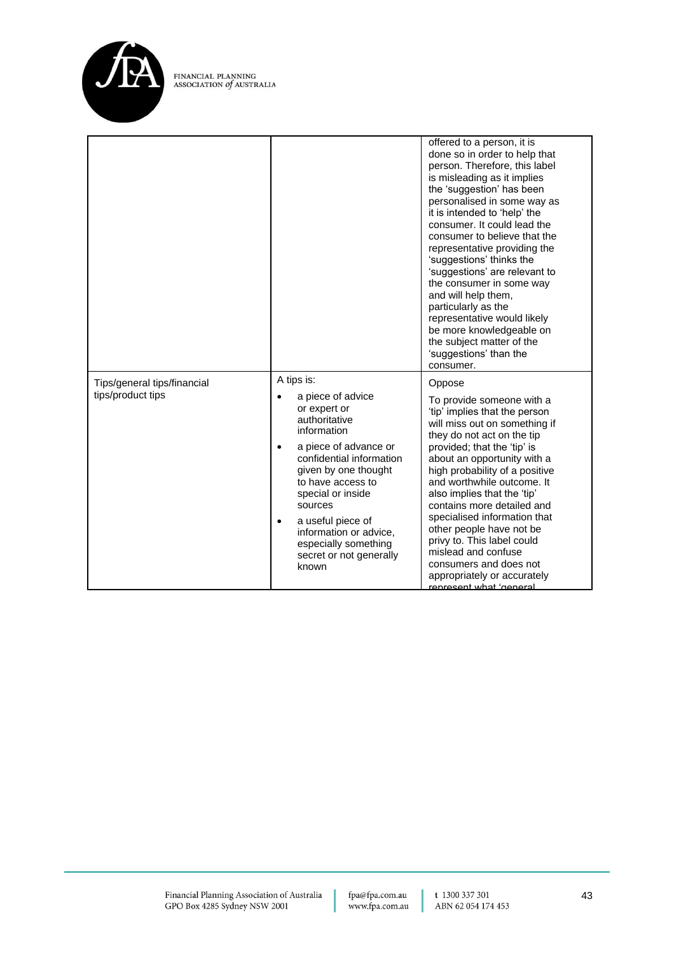

|                                                  |                                                                                                                                                                                                                                                                                                                                                        | offered to a person, it is<br>done so in order to help that<br>person. Therefore, this label<br>is misleading as it implies<br>the 'suggestion' has been<br>personalised in some way as<br>it is intended to 'help' the<br>consumer. It could lead the<br>consumer to believe that the<br>representative providing the<br>'suggestions' thinks the<br>'suggestions' are relevant to<br>the consumer in some way<br>and will help them,<br>particularly as the<br>representative would likely<br>be more knowledgeable on<br>the subject matter of the<br>'suggestions' than the<br>consumer. |
|--------------------------------------------------|--------------------------------------------------------------------------------------------------------------------------------------------------------------------------------------------------------------------------------------------------------------------------------------------------------------------------------------------------------|----------------------------------------------------------------------------------------------------------------------------------------------------------------------------------------------------------------------------------------------------------------------------------------------------------------------------------------------------------------------------------------------------------------------------------------------------------------------------------------------------------------------------------------------------------------------------------------------|
| Tips/general tips/financial<br>tips/product tips | A tips is:<br>a piece of advice<br>or expert or<br>authoritative<br>information<br>a piece of advance or<br>$\bullet$<br>confidential information<br>given by one thought<br>to have access to<br>special or inside<br>sources<br>a useful piece of<br>$\bullet$<br>information or advice,<br>especially something<br>secret or not generally<br>known | Oppose<br>To provide someone with a<br>'tip' implies that the person<br>will miss out on something if<br>they do not act on the tip<br>provided; that the 'tip' is<br>about an opportunity with a<br>high probability of a positive<br>and worthwhile outcome. It<br>also implies that the 'tip'<br>contains more detailed and<br>specialised information that<br>other people have not be<br>privy to. This label could<br>mislead and confuse<br>consumers and does not<br>appropriately or accurately<br>renresent what 'general                                                          |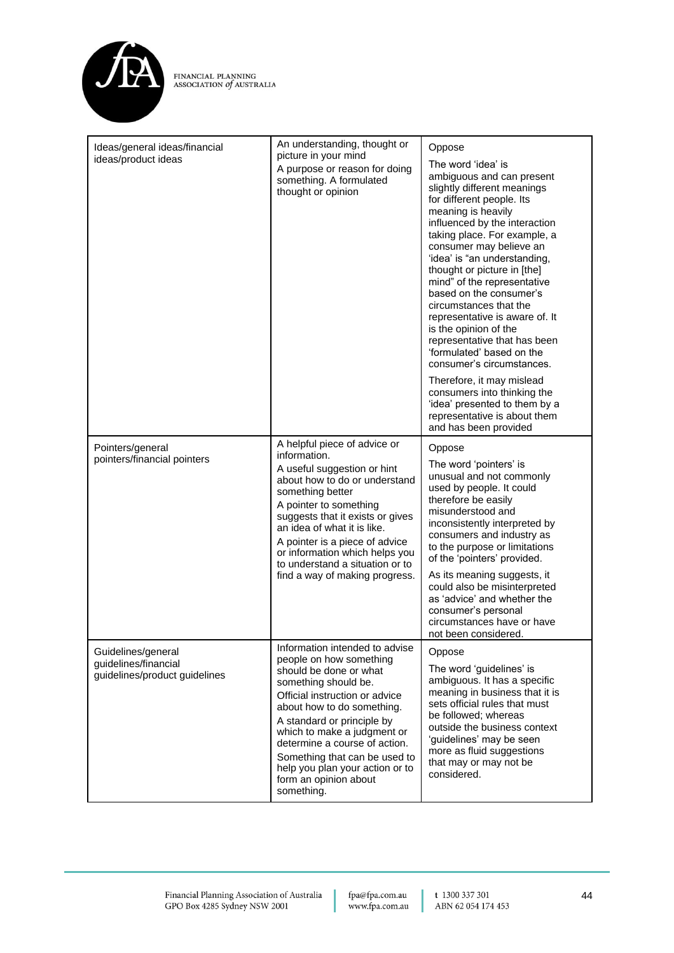

| Ideas/general ideas/financial<br>ideas/product ideas                        | An understanding, thought or<br>picture in your mind<br>A purpose or reason for doing<br>something. A formulated<br>thought or opinion                                                                                                                                                                                                                                               | Oppose<br>The word 'idea' is<br>ambiguous and can present<br>slightly different meanings<br>for different people. Its<br>meaning is heavily<br>influenced by the interaction<br>taking place. For example, a<br>consumer may believe an<br>'idea' is "an understanding,<br>thought or picture in [the]<br>mind" of the representative<br>based on the consumer's<br>circumstances that the<br>representative is aware of. It<br>is the opinion of the<br>representative that has been<br>'formulated' based on the<br>consumer's circumstances.<br>Therefore, it may mislead<br>consumers into thinking the<br>'idea' presented to them by a<br>representative is about them<br>and has been provided |
|-----------------------------------------------------------------------------|--------------------------------------------------------------------------------------------------------------------------------------------------------------------------------------------------------------------------------------------------------------------------------------------------------------------------------------------------------------------------------------|-------------------------------------------------------------------------------------------------------------------------------------------------------------------------------------------------------------------------------------------------------------------------------------------------------------------------------------------------------------------------------------------------------------------------------------------------------------------------------------------------------------------------------------------------------------------------------------------------------------------------------------------------------------------------------------------------------|
| Pointers/general<br>pointers/financial pointers                             | A helpful piece of advice or<br>information.<br>A useful suggestion or hint<br>about how to do or understand<br>something better<br>A pointer to something<br>suggests that it exists or gives<br>an idea of what it is like.<br>A pointer is a piece of advice<br>or information which helps you<br>to understand a situation or to<br>find a way of making progress.               | Oppose<br>The word 'pointers' is<br>unusual and not commonly<br>used by people. It could<br>therefore be easily<br>misunderstood and<br>inconsistently interpreted by<br>consumers and industry as<br>to the purpose or limitations<br>of the 'pointers' provided.<br>As its meaning suggests, it<br>could also be misinterpreted<br>as 'advice' and whether the<br>consumer's personal<br>circumstances have or have<br>not been considered.                                                                                                                                                                                                                                                         |
| Guidelines/general<br>guidelines/financial<br>guidelines/product guidelines | Information intended to advise<br>people on how something<br>should be done or what<br>something should be.<br>Official instruction or advice<br>about how to do something.<br>A standard or principle by<br>which to make a judgment or<br>determine a course of action.<br>Something that can be used to<br>help you plan your action or to<br>form an opinion about<br>something. | Oppose<br>The word 'guidelines' is<br>ambiguous. It has a specific<br>meaning in business that it is<br>sets official rules that must<br>be followed; whereas<br>outside the business context<br>'guidelines' may be seen<br>more as fluid suggestions<br>that may or may not be<br>considered.                                                                                                                                                                                                                                                                                                                                                                                                       |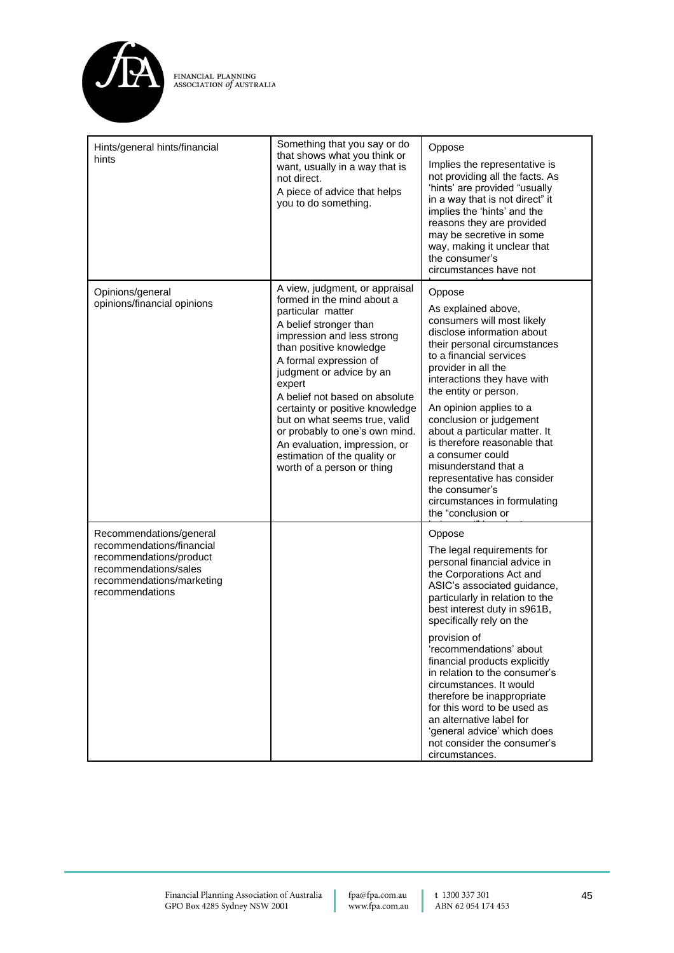

| Hints/general hints/financial<br>hints                                                                                                                   | Something that you say or do<br>that shows what you think or<br>want, usually in a way that is<br>not direct.<br>A piece of advice that helps<br>you to do something.                                                                                                                                                                                                                                                                                                       | Oppose<br>Implies the representative is<br>not providing all the facts. As<br>'hints' are provided "usually<br>in a way that is not direct" it<br>implies the 'hints' and the<br>reasons they are provided<br>may be secretive in some<br>way, making it unclear that<br>the consumer's<br>circumstances have not                                                                                                                                                                                                                               |
|----------------------------------------------------------------------------------------------------------------------------------------------------------|-----------------------------------------------------------------------------------------------------------------------------------------------------------------------------------------------------------------------------------------------------------------------------------------------------------------------------------------------------------------------------------------------------------------------------------------------------------------------------|-------------------------------------------------------------------------------------------------------------------------------------------------------------------------------------------------------------------------------------------------------------------------------------------------------------------------------------------------------------------------------------------------------------------------------------------------------------------------------------------------------------------------------------------------|
| Opinions/general<br>opinions/financial opinions                                                                                                          | A view, judgment, or appraisal<br>formed in the mind about a<br>particular matter<br>A belief stronger than<br>impression and less strong<br>than positive knowledge<br>A formal expression of<br>judgment or advice by an<br>expert<br>A belief not based on absolute<br>certainty or positive knowledge<br>but on what seems true, valid<br>or probably to one's own mind.<br>An evaluation, impression, or<br>estimation of the quality or<br>worth of a person or thing | Oppose<br>As explained above,<br>consumers will most likely<br>disclose information about<br>their personal circumstances<br>to a financial services<br>provider in all the<br>interactions they have with<br>the entity or person.<br>An opinion applies to a<br>conclusion or judgement<br>about a particular matter. It<br>is therefore reasonable that<br>a consumer could<br>misunderstand that a<br>representative has consider<br>the consumer's<br>circumstances in formulating<br>the "conclusion or                                   |
| Recommendations/general<br>recommendations/financial<br>recommendations/product<br>recommendations/sales<br>recommendations/marketing<br>recommendations |                                                                                                                                                                                                                                                                                                                                                                                                                                                                             | Oppose<br>The legal requirements for<br>personal financial advice in<br>the Corporations Act and<br>ASIC's associated guidance,<br>particularly in relation to the<br>best interest duty in s961B,<br>specifically rely on the<br>provision of<br>'recommendations' about<br>financial products explicitly<br>in relation to the consumer's<br>circumstances. It would<br>therefore be inappropriate<br>for this word to be used as<br>an alternative label for<br>'general advice' which does<br>not consider the consumer's<br>circumstances. |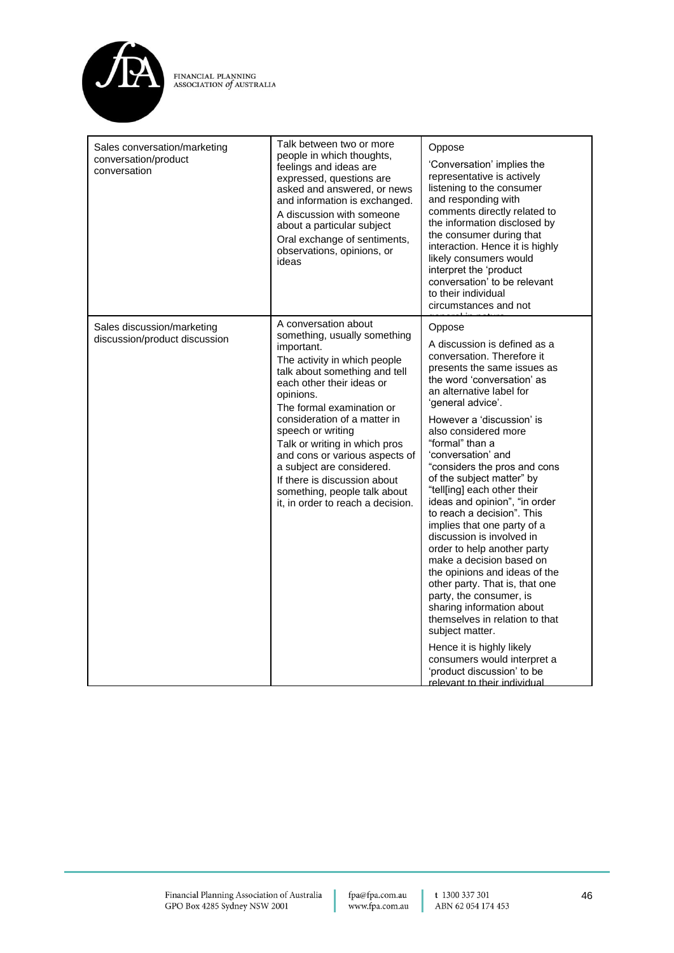

| Sales conversation/marketing<br>conversation/product<br>conversation | Talk between two or more<br>people in which thoughts,<br>feelings and ideas are<br>expressed, questions are<br>asked and answered, or news<br>and information is exchanged.<br>A discussion with someone<br>about a particular subject<br>Oral exchange of sentiments,<br>observations, opinions, or<br>ideas                                                                                                                                                        | Oppose<br>'Conversation' implies the<br>representative is actively<br>listening to the consumer<br>and responding with<br>comments directly related to<br>the information disclosed by<br>the consumer during that<br>interaction. Hence it is highly<br>likely consumers would<br>interpret the 'product<br>conversation' to be relevant<br>to their individual<br>circumstances and not                                                                                                                                                                                                                                                                                                                                                                                                                                                                                           |
|----------------------------------------------------------------------|----------------------------------------------------------------------------------------------------------------------------------------------------------------------------------------------------------------------------------------------------------------------------------------------------------------------------------------------------------------------------------------------------------------------------------------------------------------------|-------------------------------------------------------------------------------------------------------------------------------------------------------------------------------------------------------------------------------------------------------------------------------------------------------------------------------------------------------------------------------------------------------------------------------------------------------------------------------------------------------------------------------------------------------------------------------------------------------------------------------------------------------------------------------------------------------------------------------------------------------------------------------------------------------------------------------------------------------------------------------------|
| Sales discussion/marketing<br>discussion/product discussion          | A conversation about<br>something, usually something<br>important.<br>The activity in which people<br>talk about something and tell<br>each other their ideas or<br>opinions.<br>The formal examination or<br>consideration of a matter in<br>speech or writing<br>Talk or writing in which pros<br>and cons or various aspects of<br>a subject are considered.<br>If there is discussion about<br>something, people talk about<br>it, in order to reach a decision. | Oppose<br>A discussion is defined as a<br>conversation. Therefore it<br>presents the same issues as<br>the word 'conversation' as<br>an alternative label for<br>'general advice'.<br>However a 'discussion' is<br>also considered more<br>"formal" than a<br>'conversation' and<br>"considers the pros and cons<br>of the subject matter" by<br>"tell[ing] each other their<br>ideas and opinion", "in order<br>to reach a decision". This<br>implies that one party of a<br>discussion is involved in<br>order to help another party<br>make a decision based on<br>the opinions and ideas of the<br>other party. That is, that one<br>party, the consumer, is<br>sharing information about<br>themselves in relation to that<br>subject matter.<br>Hence it is highly likely<br>consumers would interpret a<br>'product discussion' to be<br><u>relevant to their individual</u> |

fpa@fpa.com.au<br>www.fpa.com.au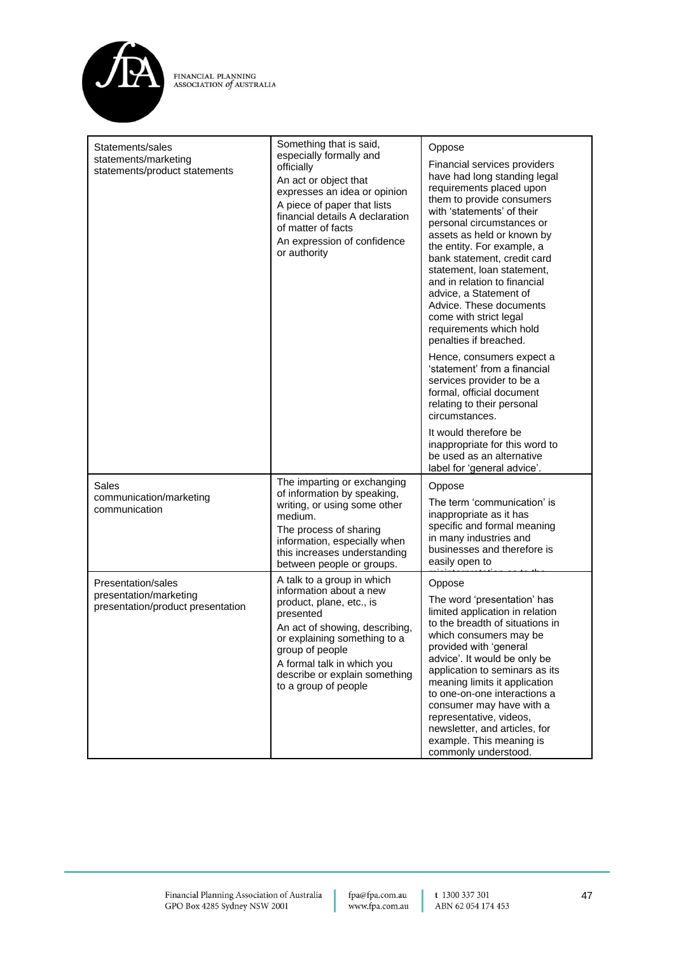

| Statements/sales<br>statements/marketing<br>statements/product statements         | Something that is said,<br>especially formally and<br>officially<br>An act or object that<br>expresses an idea or opinion<br>A piece of paper that lists<br>financial details A declaration<br>of matter of facts<br>An expression of confidence<br>or authority           | Oppose<br>Financial services providers<br>have had long standing legal<br>requirements placed upon<br>them to provide consumers<br>with 'statements' of their<br>personal circumstances or<br>assets as held or known by<br>the entity. For example, a<br>bank statement, credit card<br>statement. Ioan statement.<br>and in relation to financial<br>advice, a Statement of<br>Advice. These documents<br>come with strict legal<br>requirements which hold<br>penalties if breached.<br>Hence, consumers expect a<br>'statement' from a financial<br>services provider to be a<br>formal, official document<br>relating to their personal<br>circumstances.<br>It would therefore be<br>inappropriate for this word to<br>be used as an alternative<br>label for 'general advice'. |
|-----------------------------------------------------------------------------------|----------------------------------------------------------------------------------------------------------------------------------------------------------------------------------------------------------------------------------------------------------------------------|---------------------------------------------------------------------------------------------------------------------------------------------------------------------------------------------------------------------------------------------------------------------------------------------------------------------------------------------------------------------------------------------------------------------------------------------------------------------------------------------------------------------------------------------------------------------------------------------------------------------------------------------------------------------------------------------------------------------------------------------------------------------------------------|
| Sales<br>communication/marketing<br>communication                                 | The imparting or exchanging<br>of information by speaking,<br>writing, or using some other<br>medium.<br>The process of sharing<br>information, especially when<br>this increases understanding<br>between people or groups.                                               | Oppose<br>The term 'communication' is<br>inappropriate as it has<br>specific and formal meaning<br>in many industries and<br>businesses and therefore is<br>easily open to                                                                                                                                                                                                                                                                                                                                                                                                                                                                                                                                                                                                            |
| Presentation/sales<br>presentation/marketing<br>presentation/product presentation | A talk to a group in which<br>information about a new<br>product, plane, etc., is<br>presented<br>An act of showing, describing,<br>or explaining something to a<br>group of people<br>A formal talk in which you<br>describe or explain something<br>to a group of people | Oppose<br>The word 'presentation' has<br>limited application in relation<br>to the breadth of situations in<br>which consumers may be<br>provided with 'general<br>advice'. It would be only be<br>application to seminars as its<br>meaning limits it application<br>to one-on-one interactions a<br>consumer may have with a<br>representative, videos,<br>newsletter, and articles, for<br>example. This meaning is<br>commonly understood.                                                                                                                                                                                                                                                                                                                                        |